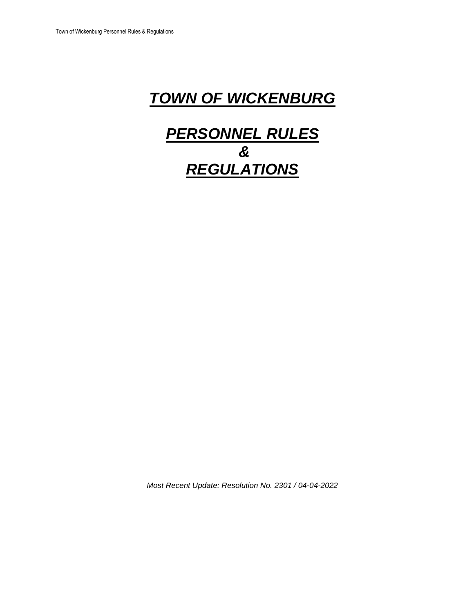# *TOWN OF WICKENBURG*

# *PERSONNEL RULES & REGULATIONS*

*Most Recent Update: Resolution No. 2301 / 04-04-2022*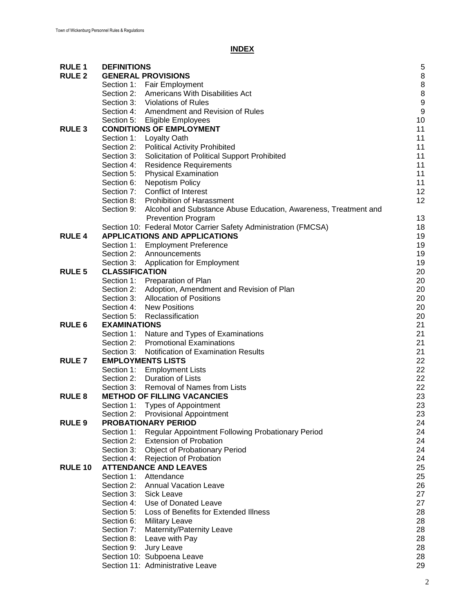# **INDEX**

| <b>RULE 1</b>  | <b>DEFINITIONS</b>    |                                                                            | 5                                     |
|----------------|-----------------------|----------------------------------------------------------------------------|---------------------------------------|
| <b>RULE 2</b>  |                       | <b>GENERAL PROVISIONS</b>                                                  | $\bf8$                                |
|                |                       | Section 1: Fair Employment                                                 | $\begin{array}{c} 8 \\ 8 \end{array}$ |
|                | Section 2:            | <b>Americans With Disabilities Act</b>                                     |                                       |
|                |                       | Section 3: Violations of Rules                                             | $\overline{9}$                        |
|                |                       | Section 4: Amendment and Revision of Rules                                 | $\boldsymbol{9}$                      |
| <b>RULE 3</b>  |                       | Section 5: Eligible Employees<br><b>CONDITIONS OF EMPLOYMENT</b>           | 10<br>11                              |
|                |                       |                                                                            | 11                                    |
|                |                       | Section 1: Loyalty Oath<br>Section 2: Political Activity Prohibited        | 11                                    |
|                | Section 3:            | Solicitation of Political Support Prohibited                               | 11                                    |
|                | Section 4:            | <b>Residence Requirements</b>                                              | 11                                    |
|                | Section 5:            | <b>Physical Examination</b>                                                | 11                                    |
|                | Section 6:            | <b>Nepotism Policy</b>                                                     | 11                                    |
|                |                       | Section 7: Conflict of Interest                                            | 12                                    |
|                |                       | Section 8: Prohibition of Harassment                                       | 12                                    |
|                |                       | Section 9: Alcohol and Substance Abuse Education, Awareness, Treatment and |                                       |
|                |                       | <b>Prevention Program</b>                                                  | 13                                    |
|                |                       | Section 10: Federal Motor Carrier Safety Administration (FMCSA)            | 18                                    |
| <b>RULE 4</b>  |                       | <b>APPLICATIONS AND APPLICATIONS</b>                                       | 19                                    |
|                |                       | Section 1: Employment Preference                                           | 19                                    |
|                |                       | Section 2: Announcements                                                   | 19                                    |
|                |                       | Section 3: Application for Employment                                      | 19                                    |
| <b>RULE 5</b>  | <b>CLASSIFICATION</b> |                                                                            | 20                                    |
|                |                       | Section 1: Preparation of Plan                                             | 20                                    |
|                |                       | Section 2: Adoption, Amendment and Revision of Plan                        | 20                                    |
|                |                       | Section 3: Allocation of Positions                                         | 20                                    |
|                |                       | Section 4: New Positions                                                   | 20                                    |
|                |                       | Section 5: Reclassification                                                | 20                                    |
| <b>RULE 6</b>  | <b>EXAMINATIONS</b>   |                                                                            | 21                                    |
|                |                       | Section 1: Nature and Types of Examinations                                | 21                                    |
|                |                       | Section 2: Promotional Examinations                                        | 21                                    |
|                |                       | Section 3: Notification of Examination Results                             | 21                                    |
| <b>RULE 7</b>  |                       | <b>EMPLOYMENTS LISTS</b>                                                   | 22                                    |
|                |                       | Section 1: Employment Lists                                                | 22                                    |
|                |                       | Section 2: Duration of Lists                                               | 22                                    |
|                |                       | Section 3: Removal of Names from Lists                                     | 22                                    |
| <b>RULE 8</b>  |                       | <b>METHOD OF FILLING VACANCIES</b>                                         | 23                                    |
|                |                       | Section 1: Types of Appointment                                            | 23                                    |
| <b>RULE 9</b>  | Section 2:            | <b>Provisional Appointment</b><br><b>PROBATIONARY PERIOD</b>               | 23<br>24                              |
|                |                       | Section 1: Regular Appointment Following Probationary Period               | 24                                    |
|                |                       | Section 2: Extension of Probation                                          | 24                                    |
|                |                       | Section 3: Object of Probationary Period                                   | 24                                    |
|                |                       | Section 4: Rejection of Probation                                          | 24                                    |
| <b>RULE 10</b> |                       | <b>ATTENDANCE AND LEAVES</b>                                               | 25                                    |
|                |                       | Section 1: Attendance                                                      | 25                                    |
|                |                       | Section 2: Annual Vacation Leave                                           | 26                                    |
|                |                       | Section 3: Sick Leave                                                      | 27                                    |
|                |                       | Section 4: Use of Donated Leave                                            | 27                                    |
|                | Section 5:            | Loss of Benefits for Extended Illness                                      | 28                                    |
|                | Section 6:            | <b>Military Leave</b>                                                      | 28                                    |
|                | Section 7:            | Maternity/Paternity Leave                                                  | 28                                    |
|                |                       | Section 8: Leave with Pay                                                  | 28                                    |
|                |                       | Section 9: Jury Leave                                                      | 28                                    |
|                |                       | Section 10: Subpoena Leave                                                 | 28                                    |
|                |                       | Section 11: Administrative Leave                                           | 29                                    |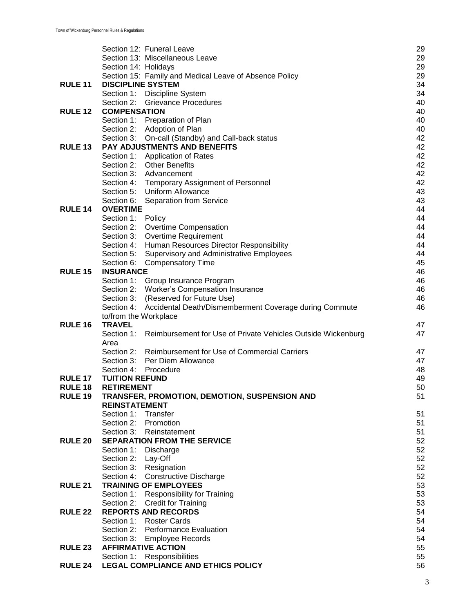|                | Section 12: Funeral Leave                                                  | 29 |
|----------------|----------------------------------------------------------------------------|----|
|                | Section 13: Miscellaneous Leave                                            | 29 |
|                | Section 14: Holidays                                                       | 29 |
|                | Section 15: Family and Medical Leave of Absence Policy                     | 29 |
| <b>RULE 11</b> | <b>DISCIPLINE SYSTEM</b>                                                   | 34 |
|                | Section 1: Discipline System                                               | 34 |
|                | Section 2: Grievance Procedures                                            | 40 |
| <b>RULE 12</b> | <b>COMPENSATION</b>                                                        | 40 |
|                | Section 1: Preparation of Plan                                             | 40 |
|                | Section 2: Adoption of Plan                                                | 40 |
|                | Section 3: On-call (Standby) and Call-back status                          | 42 |
| <b>RULE 13</b> | PAY ADJUSTMENTS AND BENEFITS                                               | 42 |
|                | Section 1: Application of Rates                                            | 42 |
|                | Section 2: Other Benefits                                                  | 42 |
|                | Section 3: Advancement                                                     | 42 |
|                | Section 4: Temporary Assignment of Personnel                               | 42 |
|                | Uniform Allowance<br>Section 5:                                            | 43 |
|                | Section 6:<br><b>Separation from Service</b>                               | 43 |
| <b>RULE 14</b> | <b>OVERTIME</b>                                                            | 44 |
|                | Section 1:<br>Policy                                                       | 44 |
|                | Section 2:<br>Overtime Compensation                                        | 44 |
|                | Section 3:<br><b>Overtime Requirement</b>                                  | 44 |
|                | Human Resources Director Responsibility<br>Section 4:                      | 44 |
|                | Section 5:<br>Supervisory and Administrative Employees                     | 44 |
|                | Section 6:<br><b>Compensatory Time</b>                                     | 45 |
| <b>RULE 15</b> | <b>INSURANCE</b>                                                           | 46 |
|                | Section 1:<br>Group Insurance Program                                      | 46 |
|                | Section 2:<br><b>Worker's Compensation Insurance</b>                       | 46 |
|                | Section 3:<br>(Reserved for Future Use)                                    | 46 |
|                | Accidental Death/Dismemberment Coverage during Commute<br>Section 4:       | 46 |
|                | to/from the Workplace                                                      |    |
| <b>RULE 16</b> | <b>TRAVEL</b>                                                              | 47 |
|                | Section 1:<br>Reimbursement for Use of Private Vehicles Outside Wickenburg | 47 |
|                | Area<br>Section 2: Reimbursement for Use of Commercial Carriers            | 47 |
|                | Section 3: Per Diem Allowance                                              | 47 |
|                | Section 4:<br>Procedure                                                    | 48 |
| <b>RULE 17</b> | <b>TUITION REFUND</b>                                                      | 49 |
| <b>RULE 18</b> | <b>RETIREMENT</b>                                                          | 50 |
| <b>RULE 19</b> | TRANSFER, PROMOTION, DEMOTION, SUSPENSION AND                              | 51 |
|                | <b>REINSTATEMENT</b>                                                       |    |
|                | Section 1: Transfer                                                        | 51 |
|                | Section 2:<br>Promotion                                                    | 51 |
|                | Section 3: Reinstatement                                                   | 51 |
| <b>RULE 20</b> | <b>SEPARATION FROM THE SERVICE</b>                                         | 52 |
|                | Section 1:<br>Discharge                                                    | 52 |
|                | Section 2: Lay-Off                                                         | 52 |
|                | Section 3: Resignation                                                     | 52 |
|                | Section 4: Constructive Discharge                                          | 52 |
| <b>RULE 21</b> | <b>TRAINING OF EMPLOYEES</b>                                               | 53 |
|                | Section 1: Responsibility for Training                                     | 53 |
|                | Section 2: Credit for Training                                             | 53 |
| <b>RULE 22</b> | <b>REPORTS AND RECORDS</b>                                                 | 54 |
|                | Section 1:<br><b>Roster Cards</b>                                          | 54 |
|                | Section 2: Performance Evaluation                                          | 54 |
|                | Section 3: Employee Records                                                | 54 |
| <b>RULE 23</b> | <b>AFFIRMATIVE ACTION</b>                                                  | 55 |
|                | Section 1: Responsibilities                                                | 55 |
| <b>RULE 24</b> | <b>LEGAL COMPLIANCE AND ETHICS POLICY</b>                                  | 56 |
|                |                                                                            |    |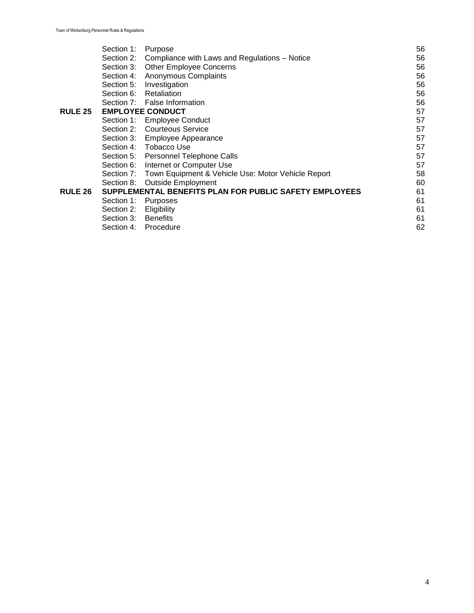|                | Section 1:                                             | Purpose                                            | 56 |
|----------------|--------------------------------------------------------|----------------------------------------------------|----|
|                | Section 2:                                             | Compliance with Laws and Regulations - Notice      | 56 |
|                | Section 3:                                             | <b>Other Employee Concerns</b>                     | 56 |
|                | Section 4:                                             | <b>Anonymous Complaints</b>                        | 56 |
|                | Section 5:                                             | Investigation                                      | 56 |
|                |                                                        | Section 6: Retaliation                             | 56 |
|                |                                                        | Section 7: False Information                       | 56 |
| <b>RULE 25</b> | <b>EMPLOYEE CONDUCT</b>                                |                                                    | 57 |
|                | Section 1:                                             | <b>Employee Conduct</b>                            | 57 |
|                |                                                        | Section 2: Courteous Service                       | 57 |
|                |                                                        | Section 3: Employee Appearance                     | 57 |
|                |                                                        | Section 4: Tobacco Use                             | 57 |
|                |                                                        | Section 5: Personnel Telephone Calls               | 57 |
|                |                                                        | Section 6: Internet or Computer Use                | 57 |
|                | Section 7:                                             | Town Equipment & Vehicle Use: Motor Vehicle Report | 58 |
|                | Section 8:                                             | <b>Outside Employment</b>                          | 60 |
| <b>RULE 26</b> | SUPPLEMENTAL BENEFITS PLAN FOR PUBLIC SAFETY EMPLOYEES |                                                    |    |
|                | Section 1:                                             | <b>Purposes</b>                                    | 61 |
|                | Section 2:                                             | Eligibility                                        | 61 |
|                | Section 3:                                             | Benefits                                           | 61 |
|                |                                                        | Section 4: Procedure                               | 62 |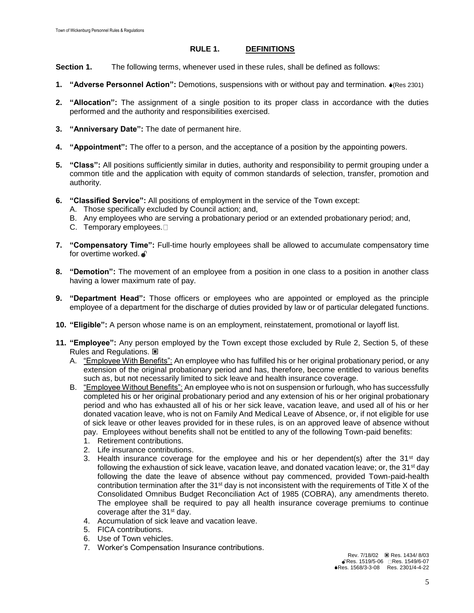#### **RULE 1. DEFINITIONS**

**Section 1.** The following terms, whenever used in these rules, shall be defined as follows:

- **1. "Adverse Personnel Action":** Demotions, suspensions with or without pay and termination. (Res 2301)
- **2. "Allocation":** The assignment of a single position to its proper class in accordance with the duties performed and the authority and responsibilities exercised.
- **3. "Anniversary Date":** The date of permanent hire.
- **4. "Appointment":** The offer to a person, and the acceptance of a position by the appointing powers.
- **5. "Class":** All positions sufficiently similar in duties, authority and responsibility to permit grouping under a common title and the application with equity of common standards of selection, transfer, promotion and authority.
- **6. "Classified Service":** All positions of employment in the service of the Town except:
	- A. Those specifically excluded by Council action; and,
	- B. Any employees who are serving a probationary period or an extended probationary period; and,
	- C. Temporary employees.
- **7. "Compensatory Time":** Full-time hourly employees shall be allowed to accumulate compensatory time for overtime worked.
- **8. "Demotion":** The movement of an employee from a position in one class to a position in another class having a lower maximum rate of pay.
- **9. "Department Head":** Those officers or employees who are appointed or employed as the principle employee of a department for the discharge of duties provided by law or of particular delegated functions.
- **10. "Eligible":** A person whose name is on an employment, reinstatement, promotional or layoff list.
- **11. "Employee":** Any person employed by the Town except those excluded by Rule 2, Section 5, of these Rules and Regulations.  $\square$ 
	- A. "Employee With Benefits": An employee who has fulfilled his or her original probationary period, or any extension of the original probationary period and has, therefore, become entitled to various benefits such as, but not necessarily limited to sick leave and health insurance coverage.
	- B. "Employee Without Benefits": An employee who is not on suspension or furlough, who has successfully completed his or her original probationary period and any extension of his or her original probationary period and who has exhausted all of his or her sick leave, vacation leave, and used all of his or her donated vacation leave, who is not on Family And Medical Leave of Absence, or, if not eligible for use of sick leave or other leaves provided for in these rules, is on an approved leave of absence without pay. Employees without benefits shall not be entitled to any of the following Town-paid benefits:
		- 1. Retirement contributions.
		- 2. Life insurance contributions.
		- 3. Health insurance coverage for the employee and his or her dependent(s) after the 31<sup>st</sup> day following the exhaustion of sick leave, vacation leave, and donated vacation leave; or, the  $31<sup>st</sup>$  day following the date the leave of absence without pay commenced, provided Town-paid-health contribution termination after the 31<sup>st</sup> day is not inconsistent with the requirements of Title X of the Consolidated Omnibus Budget Reconciliation Act of 1985 (COBRA), any amendments thereto. The employee shall be required to pay all health insurance coverage premiums to continue coverage after the 31st day.
		- 4. Accumulation of sick leave and vacation leave.
		- 5. FICA contributions.
		- 6. Use of Town vehicles.
		- 7. Worker's Compensation Insurance contributions.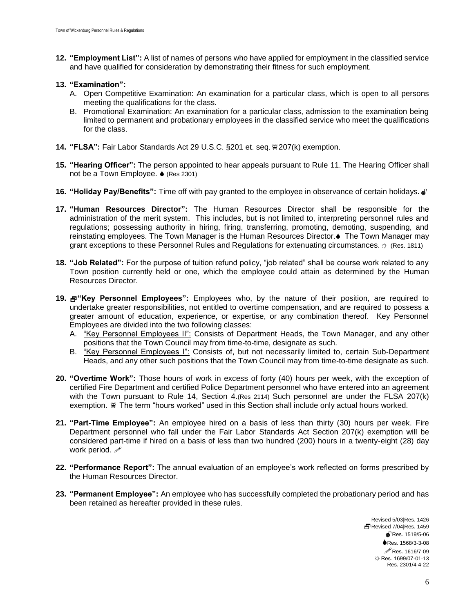**12. "Employment List":** A list of names of persons who have applied for employment in the classified service and have qualified for consideration by demonstrating their fitness for such employment.

#### **13. "Examination":**

- A. Open Competitive Examination: An examination for a particular class, which is open to all persons meeting the qualifications for the class.
- B. Promotional Examination: An examination for a particular class, admission to the examination being limited to permanent and probationary employees in the classified service who meet the qualifications for the class.
- **14. "FLSA":** Fair Labor Standards Act 29 U.S.C. §201 et. seq. 207(k) exemption.
- **15. "Hearing Officer":** The person appointed to hear appeals pursuant to Rule 11. The Hearing Officer shall not be a Town Employee. ♦ (Res 2301)
- **16. "Holiday Pay/Benefits":** Time off with pay granted to the employee in observance of certain holidays.
- **17. "Human Resources Director":** The Human Resources Director shall be responsible for the administration of the merit system. This includes, but is not limited to, interpreting personnel rules and regulations; possessing authority in hiring, firing, transferring, promoting, demoting, suspending, and reinstating employees. The Town Manager is the Human Resources Director. The Town Manager may grant exceptions to these Personnel Rules and Regulations for extenuating circumstances.  $\alpha$  (Res. 1811)
- **18. "Job Related":** For the purpose of tuition refund policy, "job related" shall be course work related to any Town position currently held or one, which the employee could attain as determined by the Human Resources Director.
- 19.  $\mathbf{F}^{\prime\prime}$ Key Personnel Employees": Employees who, by the nature of their position, are required to undertake greater responsibilities, not entitled to overtime compensation, and are required to possess a greater amount of education, experience, or expertise, or any combination thereof. Key Personnel Employees are divided into the two following classes:
	- A. "Key Personnel Employees II": Consists of Department Heads, the Town Manager, and any other positions that the Town Council may from time-to-time, designate as such.
	- B. "Key Personnel Employees I": Consists of, but not necessarily limited to, certain Sub-Department Heads, and any other such positions that the Town Council may from time-to-time designate as such.
- **20. "Overtime Work":** Those hours of work in excess of forty (40) hours per week, with the exception of certified Fire Department and certified Police Department personnel who have entered into an agreement with the Town pursuant to Rule 14, Section 4.(Res 2114) Such personnel are under the FLSA 207(k) exemption. **The term "hours worked" used in this Section shall include only actual hours worked.**
- **21. "Part-Time Employee":** An employee hired on a basis of less than thirty (30) hours per week. Fire Department personnel who fall under the Fair Labor Standards Act Section 207(k) exemption will be considered part-time if hired on a basis of less than two hundred (200) hours in a twenty-eight (28) day work period. **P**
- **22. "Performance Report":** The annual evaluation of an employee's work reflected on forms prescribed by the Human Resources Director.
- **23. "Permanent Employee":** An employee who has successfully completed the probationary period and has been retained as hereafter provided in these rules.

Revised 5/03|Res. 1426 Revised 7/04|Res. 1459  $^{\circ}$ Res. 1519/5-06 **A**Res. 1568/3-3-08 Res. 1616/7-09 ☼ Res. 1699/07-01-13 Res. 2301/4-4-22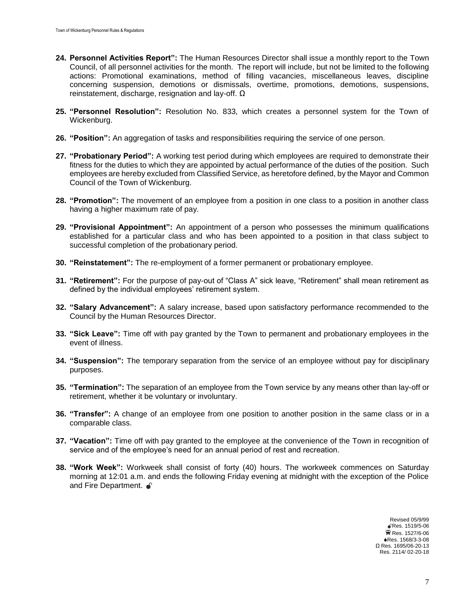- **24. Personnel Activities Report":** The Human Resources Director shall issue a monthly report to the Town Council, of all personnel activities for the month. The report will include, but not be limited to the following actions: Promotional examinations, method of filling vacancies, miscellaneous leaves, discipline concerning suspension, demotions or dismissals, overtime, promotions, demotions, suspensions, reinstatement, discharge, resignation and lay-off. Ω
- **25. "Personnel Resolution":** Resolution No. 833, which creates a personnel system for the Town of Wickenburg.
- **26. "Position":** An aggregation of tasks and responsibilities requiring the service of one person.
- **27. "Probationary Period":** A working test period during which employees are required to demonstrate their fitness for the duties to which they are appointed by actual performance of the duties of the position. Such employees are hereby excluded from Classified Service, as heretofore defined, by the Mayor and Common Council of the Town of Wickenburg.
- **28. "Promotion":** The movement of an employee from a position in one class to a position in another class having a higher maximum rate of pay.
- **29. "Provisional Appointment":** An appointment of a person who possesses the minimum qualifications established for a particular class and who has been appointed to a position in that class subject to successful completion of the probationary period.
- **30. "Reinstatement":** The re-employment of a former permanent or probationary employee.
- **31. "Retirement":** For the purpose of pay-out of "Class A" sick leave, "Retirement" shall mean retirement as defined by the individual employees' retirement system.
- **32. "Salary Advancement":** A salary increase, based upon satisfactory performance recommended to the Council by the Human Resources Director.
- **33. "Sick Leave":** Time off with pay granted by the Town to permanent and probationary employees in the event of illness.
- **34. "Suspension":** The temporary separation from the service of an employee without pay for disciplinary purposes.
- **35. "Termination":** The separation of an employee from the Town service by any means other than lay-off or retirement, whether it be voluntary or involuntary.
- **36. "Transfer":** A change of an employee from one position to another position in the same class or in a comparable class.
- **37. "Vacation":** Time off with pay granted to the employee at the convenience of the Town in recognition of service and of the employee's need for an annual period of rest and recreation.
- **38. "Work Week":** Workweek shall consist of forty (40) hours. The workweek commences on Saturday morning at 12:01 a.m. and ends the following Friday evening at midnight with the exception of the Police and Fire Department.  $\bullet$

Revised 05/9/99 Res. 1519/5-06 Res. 1527/6-06 Res. 1568/3-3-08 Ω Res. 1695/06-20-13 Res. 2114/ 02-20-18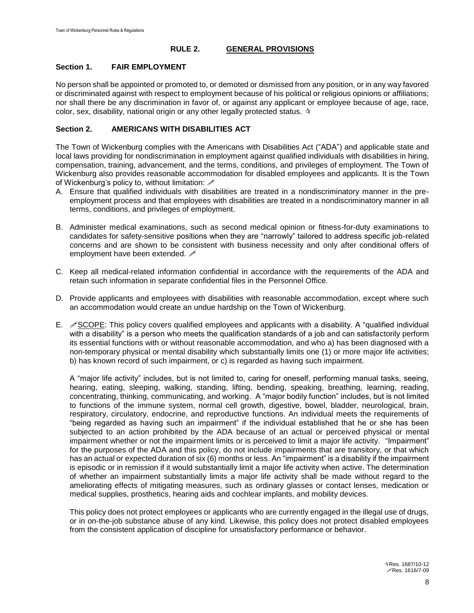# **RULE 2. GENERAL PROVISIONS**

## **Section 1. FAIR EMPLOYMENT**

No person shall be appointed or promoted to, or demoted or dismissed from any position, or in any way favored or discriminated against with respect to employment because of his political or religious opinions or affiliations; nor shall there be any discrimination in favor of, or against any applicant or employee because of age, race, color, sex, disability, national origin or any other legally protected status.  $\dot{\mathbf{x}}$ 

# **Section 2. AMERICANS WITH DISABILITIES ACT**

The Town of Wickenburg complies with the Americans with Disabilities Act ("ADA") and applicable state and local laws providing for nondiscrimination in employment against qualified individuals with disabilities in hiring, compensation, training, advancement, and the terms, conditions, and privileges of employment. The Town of Wickenburg also provides reasonable accommodation for disabled employees and applicants. It is the Town of Wickenburg's policy to, without limitation:  $\mathscr{I}$ 

- A. Ensure that qualified individuals with disabilities are treated in a nondiscriminatory manner in the preemployment process and that employees with disabilities are treated in a nondiscriminatory manner in all terms, conditions, and privileges of employment.
- B. Administer medical examinations, such as second medical opinion or fitness-for-duty examinations to candidates for safety-sensitive positions when they are "narrowly" tailored to address specific job-related concerns and are shown to be consistent with business necessity and only after conditional offers of employment have been extended.  $\mathcal S$
- C. Keep all medical-related information confidential in accordance with the requirements of the ADA and retain such information in separate confidential files in the Personnel Office.
- D. Provide applicants and employees with disabilities with reasonable accommodation, except where such an accommodation would create an undue hardship on the Town of Wickenburg.
- E.  $\mathscr{S}$ SCOPE: This policy covers qualified employees and applicants with a disability. A "qualified individual with a disability" is a person who meets the qualification standards of a job and can satisfactorily perform its essential functions with or without reasonable accommodation, and who a) has been diagnosed with a non-temporary physical or mental disability which substantially limits one (1) or more major life activities; b) has known record of such impairment, or c) is regarded as having such impairment.

A "major life activity" includes, but is not limited to, caring for oneself, performing manual tasks, seeing, hearing, eating, sleeping, walking, standing, lifting, bending, speaking, breathing, learning, reading, concentrating, thinking, communicating, and working. A "major bodily function" includes, but is not limited to functions of the immune system, normal cell growth, digestive, bowel, bladder, neurological, brain, respiratory, circulatory, endocrine, and reproductive functions. An individual meets the requirements of "being regarded as having such an impairment" if the individual established that he or she has been subjected to an action prohibited by the ADA because of an actual or perceived physical or mental impairment whether or not the impairment limits or is perceived to limit a major life activity. "Impairment" for the purposes of the ADA and this policy, do not include impairments that are transitory, or that which has an actual or expected duration of six (6) months or less. An "impairment" is a disability if the impairment is episodic or in remission if it would substantially limit a major life activity when active. The determination of whether an impairment substantially limits a major life activity shall be made without regard to the ameliorating effects of mitigating measures, such as ordinary glasses or contact lenses, medication or medical supplies, prosthetics, hearing aids and cochlear implants, and mobility devices.

This policy does not protect employees or applicants who are currently engaged in the illegal use of drugs, or in on-the-job substance abuse of any kind. Likewise, this policy does not protect disabled employees from the consistent application of discipline for unsatisfactory performance or behavior.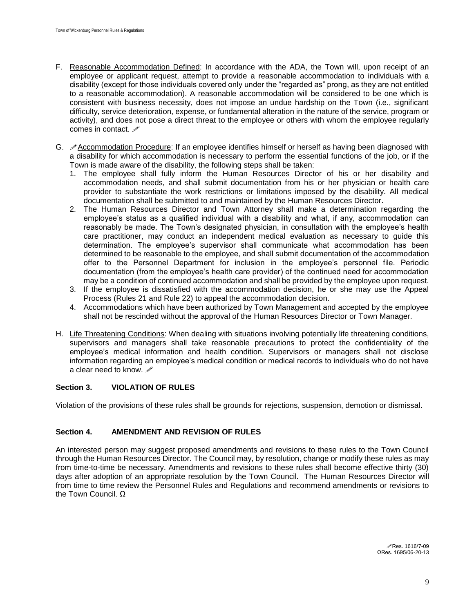- F. Reasonable Accommodation Defined: In accordance with the ADA, the Town will, upon receipt of an employee or applicant request, attempt to provide a reasonable accommodation to individuals with a disability (except for those individuals covered only under the "regarded as" prong, as they are not entitled to a reasonable accommodation). A reasonable accommodation will be considered to be one which is consistent with business necessity, does not impose an undue hardship on the Town (i.e., significant difficulty, service deterioration, expense, or fundamental alteration in the nature of the service, program or activity), and does not pose a direct threat to the employee or others with whom the employee regularly comes in contact.
- G. Accommodation Procedure: If an employee identifies himself or herself as having been diagnosed with a disability for which accommodation is necessary to perform the essential functions of the job, or if the Town is made aware of the disability, the following steps shall be taken:
	- 1. The employee shall fully inform the Human Resources Director of his or her disability and accommodation needs, and shall submit documentation from his or her physician or health care provider to substantiate the work restrictions or limitations imposed by the disability. All medical documentation shall be submitted to and maintained by the Human Resources Director.
	- 2. The Human Resources Director and Town Attorney shall make a determination regarding the employee's status as a qualified individual with a disability and what, if any, accommodation can reasonably be made. The Town's designated physician, in consultation with the employee's health care practitioner, may conduct an independent medical evaluation as necessary to guide this determination. The employee's supervisor shall communicate what accommodation has been determined to be reasonable to the employee, and shall submit documentation of the accommodation offer to the Personnel Department for inclusion in the employee's personnel file. Periodic documentation (from the employee's health care provider) of the continued need for accommodation may be a condition of continued accommodation and shall be provided by the employee upon request.
	- 3. If the employee is dissatisfied with the accommodation decision, he or she may use the Appeal Process (Rules 21 and Rule 22) to appeal the accommodation decision.
	- 4. Accommodations which have been authorized by Town Management and accepted by the employee shall not be rescinded without the approval of the Human Resources Director or Town Manager.
- H. Life Threatening Conditions: When dealing with situations involving potentially life threatening conditions, supervisors and managers shall take reasonable precautions to protect the confidentiality of the employee's medical information and health condition. Supervisors or managers shall not disclose information regarding an employee's medical condition or medical records to individuals who do not have a clear need to know.  $\mathscr{D}$

# **Section 3. VIOLATION OF RULES**

Violation of the provisions of these rules shall be grounds for rejections, suspension, demotion or dismissal.

# **Section 4. AMENDMENT AND REVISION OF RULES**

An interested person may suggest proposed amendments and revisions to these rules to the Town Council through the Human Resources Director. The Council may, by resolution, change or modify these rules as may from time-to-time be necessary. Amendments and revisions to these rules shall become effective thirty (30) days after adoption of an appropriate resolution by the Town Council. The Human Resources Director will from time to time review the Personnel Rules and Regulations and recommend amendments or revisions to the Town Council. Ω

> Res. 1616/7-09 ΩRes. 1695/06-20-13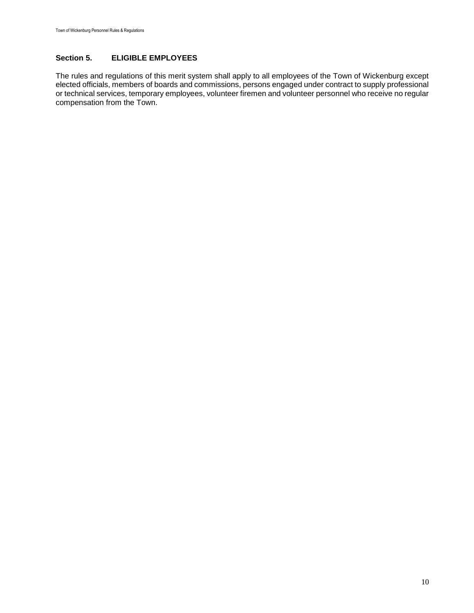# **Section 5. ELIGIBLE EMPLOYEES**

The rules and regulations of this merit system shall apply to all employees of the Town of Wickenburg except elected officials, members of boards and commissions, persons engaged under contract to supply professional or technical services, temporary employees, volunteer firemen and volunteer personnel who receive no regular compensation from the Town.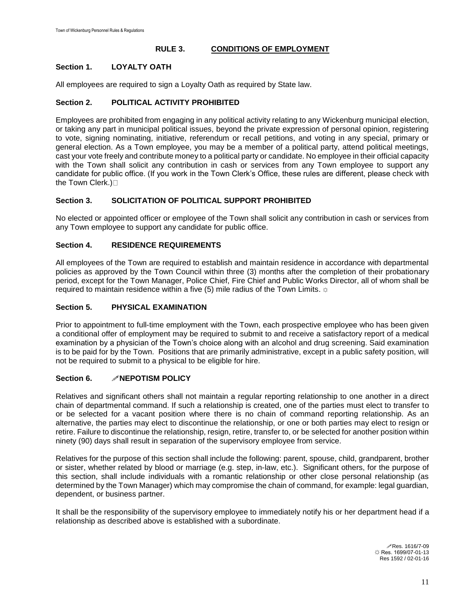# **RULE 3. CONDITIONS OF EMPLOYMENT**

# **Section 1. LOYALTY OATH**

All employees are required to sign a Loyalty Oath as required by State law.

# **Section 2. POLITICAL ACTIVITY PROHIBITED**

Employees are prohibited from engaging in any political activity relating to any Wickenburg municipal election, or taking any part in municipal political issues, beyond the private expression of personal opinion, registering to vote, signing nominating, initiative, referendum or recall petitions, and voting in any special, primary or general election. As a Town employee, you may be a member of a political party, attend political meetings, cast your vote freely and contribute money to a political party or candidate. No employee in their official capacity with the Town shall solicit any contribution in cash or services from any Town employee to support any candidate for public office. (If you work in the Town Clerk's Office, these rules are different, please check with the Town Clerk.)

# **Section 3. SOLICITATION OF POLITICAL SUPPORT PROHIBITED**

No elected or appointed officer or employee of the Town shall solicit any contribution in cash or services from any Town employee to support any candidate for public office.

#### **Section 4. RESIDENCE REQUIREMENTS**

All employees of the Town are required to establish and maintain residence in accordance with departmental policies as approved by the Town Council within three (3) months after the completion of their probationary period, except for the Town Manager, Police Chief, Fire Chief and Public Works Director, all of whom shall be required to maintain residence within a five (5) mile radius of the Town Limits.  $\alpha$ 

## **Section 5. PHYSICAL EXAMINATION**

Prior to appointment to full-time employment with the Town, each prospective employee who has been given a conditional offer of employment may be required to submit to and receive a satisfactory report of a medical examination by a physician of the Town's choice along with an alcohol and drug screening. Said examination is to be paid for by the Town. Positions that are primarily administrative, except in a public safety position, will not be required to submit to a physical to be eligible for hire.

# Section 6. *NEPOTISM POLICY*

Relatives and significant others shall not maintain a regular reporting relationship to one another in a direct chain of departmental command. If such a relationship is created, one of the parties must elect to transfer to or be selected for a vacant position where there is no chain of command reporting relationship. As an alternative, the parties may elect to discontinue the relationship, or one or both parties may elect to resign or retire. Failure to discontinue the relationship, resign, retire, transfer to, or be selected for another position within ninety (90) days shall result in separation of the supervisory employee from service.

Relatives for the purpose of this section shall include the following: parent, spouse, child, grandparent, brother or sister, whether related by blood or marriage (e.g. step, in-law, etc.). Significant others, for the purpose of this section, shall include individuals with a romantic relationship or other close personal relationship (as determined by the Town Manager) which may compromise the chain of command, for example: legal guardian, dependent, or business partner.

It shall be the responsibility of the supervisory employee to immediately notify his or her department head if a relationship as described above is established with a subordinate.

> Res. 1616/7-09  $\hat{X}$  Res. 1699/07-01-13 Res 1592 / 02-01-16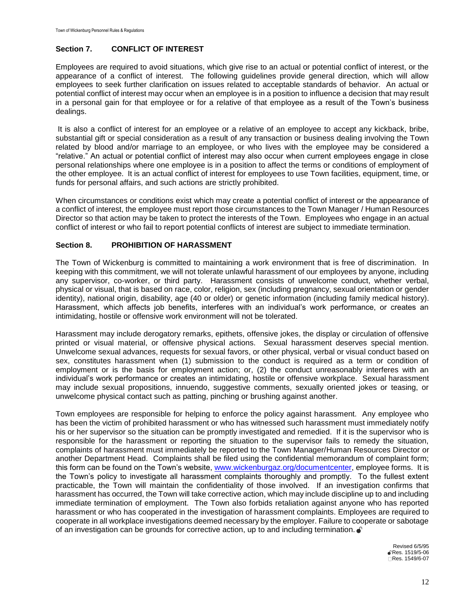# **Section 7. CONFLICT OF INTEREST**

Employees are required to avoid situations, which give rise to an actual or potential conflict of interest, or the appearance of a conflict of interest. The following guidelines provide general direction, which will allow employees to seek further clarification on issues related to acceptable standards of behavior. An actual or potential conflict of interest may occur when an employee is in a position to influence a decision that may result in a personal gain for that employee or for a relative of that employee as a result of the Town's business dealings.

It is also a conflict of interest for an employee or a relative of an employee to accept any kickback, bribe, substantial gift or special consideration as a result of any transaction or business dealing involving the Town related by blood and/or marriage to an employee, or who lives with the employee may be considered a "relative." An actual or potential conflict of interest may also occur when current employees engage in close personal relationships where one employee is in a position to affect the terms or conditions of employment of the other employee. It is an actual conflict of interest for employees to use Town facilities, equipment, time, or funds for personal affairs, and such actions are strictly prohibited.

When circumstances or conditions exist which may create a potential conflict of interest or the appearance of a conflict of interest, the employee must report those circumstances to the Town Manager / Human Resources Director so that action may be taken to protect the interests of the Town. Employees who engage in an actual conflict of interest or who fail to report potential conflicts of interest are subject to immediate termination.

#### **Section 8. PROHIBITION OF HARASSMENT**

The Town of Wickenburg is committed to maintaining a work environment that is free of discrimination. In keeping with this commitment, we will not tolerate unlawful harassment of our employees by anyone, including any supervisor, co-worker, or third party. Harassment consists of unwelcome conduct, whether verbal, physical or visual, that is based on race, color, religion, sex (including pregnancy, sexual orientation or gender identity), national origin, disability, age (40 or older) or genetic information (including family medical history). Harassment, which affects job benefits, interferes with an individual's work performance, or creates an intimidating, hostile or offensive work environment will not be tolerated.

Harassment may include derogatory remarks, epithets, offensive jokes, the display or circulation of offensive printed or visual material, or offensive physical actions. Sexual harassment deserves special mention. Unwelcome sexual advances, requests for sexual favors, or other physical, verbal or visual conduct based on sex, constitutes harassment when (1) submission to the conduct is required as a term or condition of employment or is the basis for employment action; or, (2) the conduct unreasonably interferes with an individual's work performance or creates an intimidating, hostile or offensive workplace. Sexual harassment may include sexual propositions, innuendo, suggestive comments, sexually oriented jokes or teasing, or unwelcome physical contact such as patting, pinching or brushing against another.

Town employees are responsible for helping to enforce the policy against harassment. Any employee who has been the victim of prohibited harassment or who has witnessed such harassment must immediately notify his or her supervisor so the situation can be promptly investigated and remedied. If it is the supervisor who is responsible for the harassment or reporting the situation to the supervisor fails to remedy the situation, complaints of harassment must immediately be reported to the Town Manager/Human Resources Director or another Department Head. Complaints shall be filed using the confidential memorandum of complaint form; this form can be found on the Town's website, [www.wickenburgaz.org/documentcenter,](http://www.wickenburgaz.org/documentcenter) employee forms. It is the Town's policy to investigate all harassment complaints thoroughly and promptly. To the fullest extent practicable, the Town will maintain the confidentiality of those involved. If an investigation confirms that harassment has occurred, the Town will take corrective action, which may include discipline up to and including immediate termination of employment. The Town also forbids retaliation against anyone who has reported harassment or who has cooperated in the investigation of harassment complaints. Employees are required to cooperate in all workplace investigations deemed necessary by the employer. Failure to cooperate or sabotage of an investigation can be grounds for corrective action, up to and including termination.

> Revised 6/5/95 Res. 1519/5-06 Res. 1549/6-07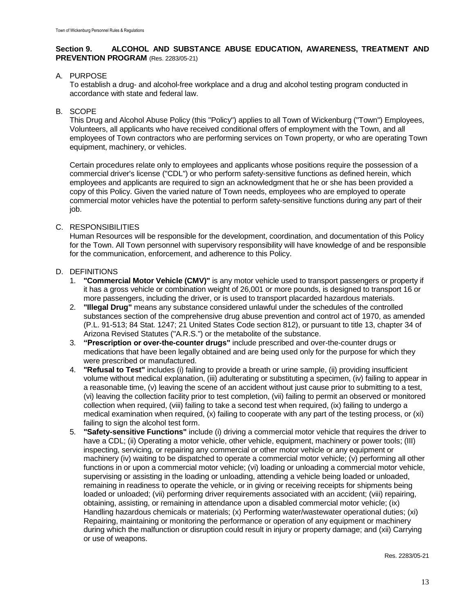# **Section 9. ALCOHOL AND SUBSTANCE ABUSE EDUCATION, AWARENESS, TREATMENT AND PREVENTION PROGRAM** (Res. 2283/05-21)

A. PURPOSE

To establish a drug- and alcohol-free workplace and a drug and alcohol testing program conducted in accordance with state and federal law.

B. SCOPE

This Drug and Alcohol Abuse Policy (this "Policy") applies to all Town of Wickenburg ("Town") Employees, Volunteers, all applicants who have received conditional offers of employment with the Town, and all employees of Town contractors who are performing services on Town property, or who are operating Town equipment, machinery, or vehicles.

Certain procedures relate only to employees and applicants whose positions require the possession of a commercial driver's license ("CDL") or who perform safety-sensitive functions as defined herein, which employees and applicants are required to sign an acknowledgment that he or she has been provided a copy of this Policy. Given the varied nature of Town needs, employees who are employed to operate commercial motor vehicles have the potential to perform safety-sensitive functions during any part of their job.

# C. RESPONSIBILITIES

Human Resources will be responsible for the development, coordination, and documentation of this Policy for the Town. All Town personnel with supervisory responsibility will have knowledge of and be responsible for the communication, enforcement, and adherence to this Policy.

# D. DEFINITIONS

- 1. **"Commercial Motor Vehicle (CMV)"** is any motor vehicle used to transport passengers or property if it has a gross vehicle or combination weight of 26,001 or more pounds, is designed to transport 16 or more passengers, including the driver, or is used to transport placarded hazardous materials.
- 2. **"Illegal Drug"** means any substance considered unlawful under the schedules of the controlled substances section of the comprehensive drug abuse prevention and control act of 1970, as amended (P.L. 91-513; 84 Stat. 1247; 21 United States Code section 812), or pursuant to title 13, chapter 34 of Arizona Revised Statutes ("A.R.S.") or the metabolite of the substance.
- 3. **"Prescription or over-the-counter drugs"** include prescribed and over-the-counter drugs or medications that have been legally obtained and are being used only for the purpose for which they were prescribed or manufactured.
- 4. **"Refusal to Test"** includes (i) failing to provide a breath or urine sample, (ii) providing insufficient volume without medical explanation, (iii) adulterating or substituting a specimen, (iv) failing to appear in a reasonable time, (v) leaving the scene of an accident without just cause prior to submitting to a test, (vi) leaving the collection facility prior to test completion, (vii) failing to permit an observed or monitored collection when required, (viii) failing to take a second test when required, (ix) failing to undergo a medical examination when required, (x) failing to cooperate with any part of the testing process, or (xi) failing to sign the alcohol test form.
- 5. **"Safety-sensitive Functions"** include (i) driving a commercial motor vehicle that requires the driver to have a CDL; (ii) Operating a motor vehicle, other vehicle, equipment, machinery or power tools; (III) inspecting, servicing, or repairing any commercial or other motor vehicle or any equipment or machinery (iv) waiting to be dispatched to operate a commercial motor vehicle; (v) performing all other functions in or upon a commercial motor vehicle; (vi) loading or unloading a commercial motor vehicle, supervising or assisting in the loading or unloading, attending a vehicle being loaded or unloaded, remaining in readiness to operate the vehicle, or in giving or receiving receipts for shipments being loaded or unloaded; (vii) performing driver requirements associated with an accident; (viii) repairing, obtaining, assisting, or remaining in attendance upon a disabled commercial motor vehicle; (ix) Handling hazardous chemicals or materials; (x) Performing water/wastewater operational duties; (xi) Repairing, maintaining or monitoring the performance or operation of any equipment or machinery during which the malfunction or disruption could result in injury or property damage; and (xii) Carrying or use of weapons.

Res. 2283/05-21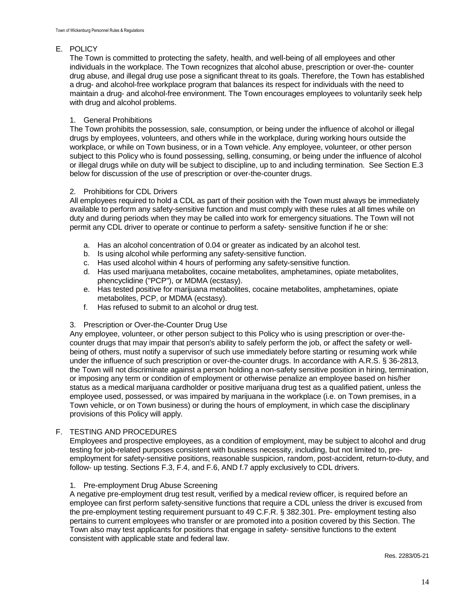# E. POLICY

The Town is committed to protecting the safety, health, and well-being of all employees and other individuals in the workplace. The Town recognizes that alcohol abuse, prescription or over-the- counter drug abuse, and illegal drug use pose a significant threat to its goals. Therefore, the Town has established a drug- and alcohol-free workplace program that balances its respect for individuals with the need to maintain a drug- and alcohol-free environment. The Town encourages employees to voluntarily seek help with drug and alcohol problems.

# 1. General Prohibitions

The Town prohibits the possession, sale, consumption, or being under the influence of alcohol or illegal drugs by employees, volunteers, and others while in the workplace, during working hours outside the workplace, or while on Town business, or in a Town vehicle. Any employee, volunteer, or other person subject to this Policy who is found possessing, selling, consuming, or being under the influence of alcohol or illegal drugs while on duty will be subject to discipline, up to and including termination. See Section E.3 below for discussion of the use of prescription or over-the-counter drugs.

# 2. Prohibitions for CDL Drivers

All employees required to hold a CDL as part of their position with the Town must always be immediately available to perform any safety-sensitive function and must comply with these rules at all times while on duty and during periods when they may be called into work for emergency situations. The Town will not permit any CDL driver to operate or continue to perform a safety- sensitive function if he or she:

- a. Has an alcohol concentration of 0.04 or greater as indicated by an alcohol test.
- b. Is using alcohol while performing any safety-sensitive function.
- c. Has used alcohol within 4 hours of performing any safety-sensitive function.
- d. Has used marijuana metabolites, cocaine metabolites, amphetamines, opiate metabolites, phencyclidine ("PCP"), or MDMA (ecstasy).
- e. Has tested positive for marijuana metabolites, cocaine metabolites, amphetamines, opiate metabolites, PCP, or MDMA (ecstasy).
- f. Has refused to submit to an alcohol or drug test.

#### 3. Prescription or Over-the-Counter Drug Use

Any employee, volunteer, or other person subject to this Policy who is using prescription or over-thecounter drugs that may impair that person's ability to safely perform the job, or affect the safety or wellbeing of others, must notify a supervisor of such use immediately before starting or resuming work while under the influence of such prescription or over-the-counter drugs. In accordance with A.R.S. § 36-2813, the Town will not discriminate against a person holding a non-safety sensitive position in hiring, termination, or imposing any term or condition of employment or otherwise penalize an employee based on his/her status as a medical marijuana cardholder or positive marijuana drug test as a qualified patient, unless the employee used, possessed, or was impaired by marijuana in the workplace (i.e. on Town premises, in a Town vehicle, or on Town business) or during the hours of employment, in which case the disciplinary provisions of this Policy will apply.

# F. TESTING AND PROCEDURES

Employees and prospective employees, as a condition of employment, may be subject to alcohol and drug testing for job-related purposes consistent with business necessity, including, but not limited to, preemployment for safety-sensitive positions, reasonable suspicion, random, post-accident, return-to-duty, and follow- up testing. Sections F.3, F.4, and F.6, AND f.7 apply exclusively to CDL drivers.

# 1. Pre-employment Drug Abuse Screening

A negative pre-employment drug test result, verified by a medical review officer, is required before an employee can first perform safety-sensitive functions that require a CDL unless the driver is excused from the pre-employment testing requirement pursuant to 49 C.F.R. § 382.301. Pre- employment testing also pertains to current employees who transfer or are promoted into a position covered by this Section. The Town also may test applicants for positions that engage in safety- sensitive functions to the extent consistent with applicable state and federal law.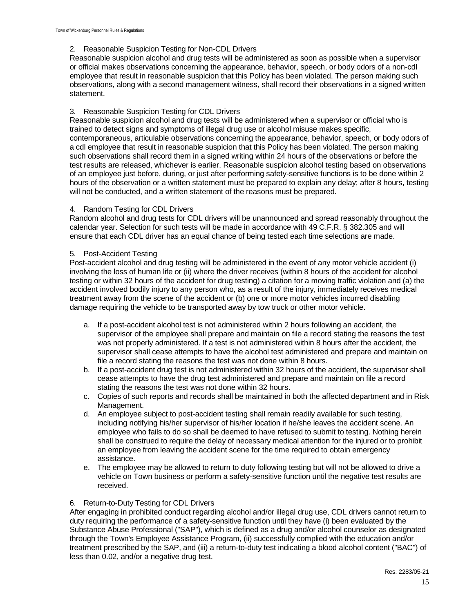# 2. Reasonable Suspicion Testing for Non-CDL Drivers

Reasonable suspicion alcohol and drug tests will be administered as soon as possible when a supervisor or official makes observations concerning the appearance, behavior, speech, or body odors of a non-cdl employee that result in reasonable suspicion that this Policy has been violated. The person making such observations, along with a second management witness, shall record their observations in a signed written statement.

# 3. Reasonable Suspicion Testing for CDL Drivers

Reasonable suspicion alcohol and drug tests will be administered when a supervisor or official who is trained to detect signs and symptoms of illegal drug use or alcohol misuse makes specific, contemporaneous, articulable observations concerning the appearance, behavior, speech, or body odors of a cdl employee that result in reasonable suspicion that this Policy has been violated. The person making such observations shall record them in a signed writing within 24 hours of the observations or before the test results are released, whichever is earlier. Reasonable suspicion alcohol testing based on observations of an employee just before, during, or just after performing safety-sensitive functions is to be done within 2 hours of the observation or a written statement must be prepared to explain any delay; after 8 hours, testing will not be conducted, and a written statement of the reasons must be prepared.

# 4. Random Testing for CDL Drivers

Random alcohol and drug tests for CDL drivers will be unannounced and spread reasonably throughout the calendar year. Selection for such tests will be made in accordance with 49 C.F.R. § 382.305 and will ensure that each CDL driver has an equal chance of being tested each time selections are made.

# 5. Post-Accident Testing

Post-accident alcohol and drug testing will be administered in the event of any motor vehicle accident (i) involving the loss of human life or (ii) where the driver receives (within 8 hours of the accident for alcohol testing or within 32 hours of the accident for drug testing) a citation for a moving traffic violation and (a) the accident involved bodily injury to any person who, as a result of the injury, immediately receives medical treatment away from the scene of the accident or (b) one or more motor vehicles incurred disabling damage requiring the vehicle to be transported away by tow truck or other motor vehicle.

- a. If a post-accident alcohol test is not administered within 2 hours following an accident, the supervisor of the employee shall prepare and maintain on file a record stating the reasons the test was not properly administered. If a test is not administered within 8 hours after the accident, the supervisor shall cease attempts to have the alcohol test administered and prepare and maintain on file a record stating the reasons the test was not done within 8 hours.
- b. If a post-accident drug test is not administered within 32 hours of the accident, the supervisor shall cease attempts to have the drug test administered and prepare and maintain on file a record stating the reasons the test was not done within 32 hours.
- c. Copies of such reports and records shall be maintained in both the affected department and in Risk Management.
- d. An employee subject to post-accident testing shall remain readily available for such testing, including notifying his/her supervisor of his/her location if he/she leaves the accident scene. An employee who fails to do so shall be deemed to have refused to submit to testing. Nothing herein shall be construed to require the delay of necessary medical attention for the injured or to prohibit an employee from leaving the accident scene for the time required to obtain emergency assistance.
- e. The employee may be allowed to return to duty following testing but will not be allowed to drive a vehicle on Town business or perform a safety-sensitive function until the negative test results are received.

# 6. Return-to-Duty Testing for CDL Drivers

After engaging in prohibited conduct regarding alcohol and/or illegal drug use, CDL drivers cannot return to duty requiring the performance of a safety-sensitive function until they have (i) been evaluated by the Substance Abuse Professional ("SAP"), which is defined as a drug and/or alcohol counselor as designated through the Town's Employee Assistance Program, (ii) successfully complied with the education and/or treatment prescribed by the SAP, and (iii) a return-to-duty test indicating a blood alcohol content ("BAC") of less than 0.02, and/or a negative drug test.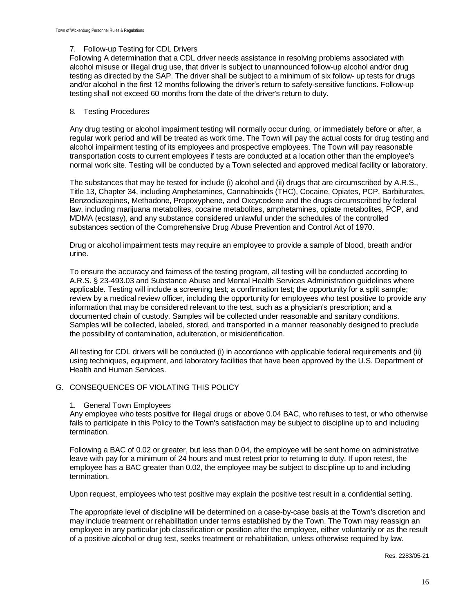# 7. Follow-up Testing for CDL Drivers

Following A determination that a CDL driver needs assistance in resolving problems associated with alcohol misuse or illegal drug use, that driver is subject to unannounced follow-up alcohol and/or drug testing as directed by the SAP. The driver shall be subject to a minimum of six follow- up tests for drugs and/or alcohol in the first 12 months following the driver's return to safety-sensitive functions. Follow-up testing shall not exceed 60 months from the date of the driver's return to duty.

## 8. Testing Procedures

Any drug testing or alcohol impairment testing will normally occur during, or immediately before or after, a regular work period and will be treated as work time. The Town will pay the actual costs for drug testing and alcohol impairment testing of its employees and prospective employees. The Town will pay reasonable transportation costs to current employees if tests are conducted at a location other than the employee's normal work site. Testing will be conducted by a Town selected and approved medical facility or laboratory.

The substances that may be tested for include (i) alcohol and (ii) drugs that are circumscribed by A.R.S., Title 13, Chapter 34, including Amphetamines, Cannabinoids (THC), Cocaine, Opiates, PCP, Barbiturates, Benzodiazepines, Methadone, Propoxyphene, and Oxcycodene and the drugs circumscribed by federal law, including marijuana metabolites, cocaine metabolites, amphetamines, opiate metabolites, PCP, and MDMA (ecstasy), and any substance considered unlawful under the schedules of the controlled substances section of the Comprehensive Drug Abuse Prevention and Control Act of 1970.

Drug or alcohol impairment tests may require an employee to provide a sample of blood, breath and/or urine.

To ensure the accuracy and fairness of the testing program, all testing will be conducted according to A.R.S. § 23-493.03 and Substance Abuse and Mental Health Services Administration guidelines where applicable. Testing will include a screening test; a confirmation test; the opportunity for a split sample; review by a medical review officer, including the opportunity for employees who test positive to provide any information that may be considered relevant to the test, such as a physician's prescription; and a documented chain of custody. Samples will be collected under reasonable and sanitary conditions. Samples will be collected, labeled, stored, and transported in a manner reasonably designed to preclude the possibility of contamination, adulteration, or misidentification.

All testing for CDL drivers will be conducted (i) in accordance with applicable federal requirements and (ii) using techniques, equipment, and laboratory facilities that have been approved by the U.S. Department of Health and Human Services.

# G. CONSEQUENCES OF VIOLATING THIS POLICY

# 1. General Town Employees

Any employee who tests positive for illegal drugs or above 0.04 BAC, who refuses to test, or who otherwise fails to participate in this Policy to the Town's satisfaction may be subject to discipline up to and including termination.

Following a BAC of 0.02 or greater, but less than 0.04, the employee will be sent home on administrative leave with pay for a minimum of 24 hours and must retest prior to returning to duty. If upon retest, the employee has a BAC greater than 0.02, the employee may be subject to discipline up to and including termination.

Upon request, employees who test positive may explain the positive test result in a confidential setting.

The appropriate level of discipline will be determined on a case-by-case basis at the Town's discretion and may include treatment or rehabilitation under terms established by the Town. The Town may reassign an employee in any particular job classification or position after the employee, either voluntarily or as the result of a positive alcohol or drug test, seeks treatment or rehabilitation, unless otherwise required by law.

Res. 2283/05-21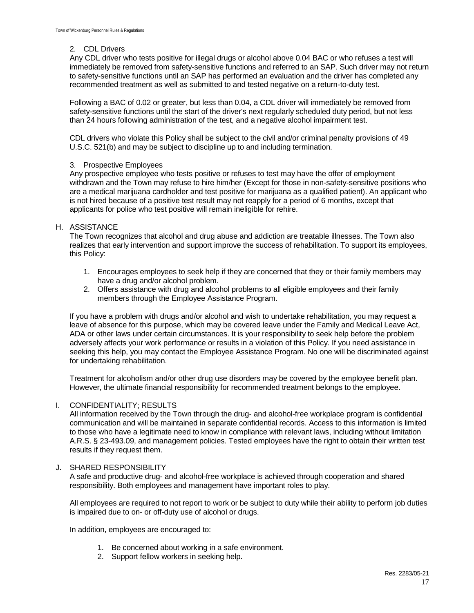## 2. CDL Drivers

Any CDL driver who tests positive for illegal drugs or alcohol above 0.04 BAC or who refuses a test will immediately be removed from safety-sensitive functions and referred to an SAP. Such driver may not return to safety-sensitive functions until an SAP has performed an evaluation and the driver has completed any recommended treatment as well as submitted to and tested negative on a return-to-duty test.

Following a BAC of 0.02 or greater, but less than 0.04, a CDL driver will immediately be removed from safety-sensitive functions until the start of the driver's next regularly scheduled duty period, but not less than 24 hours following administration of the test, and a negative alcohol impairment test.

CDL drivers who violate this Policy shall be subject to the civil and/or criminal penalty provisions of 49 U.S.C. 521(b) and may be subject to discipline up to and including termination.

# 3. Prospective Employees

Any prospective employee who tests positive or refuses to test may have the offer of employment withdrawn and the Town may refuse to hire him/her (Except for those in non-safety-sensitive positions who are a medical marijuana cardholder and test positive for marijuana as a qualified patient). An applicant who is not hired because of a positive test result may not reapply for a period of 6 months, except that applicants for police who test positive will remain ineligible for rehire.

# H. ASSISTANCE

The Town recognizes that alcohol and drug abuse and addiction are treatable illnesses. The Town also realizes that early intervention and support improve the success of rehabilitation. To support its employees, this Policy:

- 1. Encourages employees to seek help if they are concerned that they or their family members may have a drug and/or alcohol problem.
- 2. Offers assistance with drug and alcohol problems to all eligible employees and their family members through the Employee Assistance Program.

If you have a problem with drugs and/or alcohol and wish to undertake rehabilitation, you may request a leave of absence for this purpose, which may be covered leave under the Family and Medical Leave Act, ADA or other laws under certain circumstances. It is your responsibility to seek help before the problem adversely affects your work performance or results in a violation of this Policy. If you need assistance in seeking this help, you may contact the Employee Assistance Program. No one will be discriminated against for undertaking rehabilitation.

Treatment for alcoholism and/or other drug use disorders may be covered by the employee benefit plan. However, the ultimate financial responsibility for recommended treatment belongs to the employee.

#### I. CONFIDENTIALITY; RESULTS

All information received by the Town through the drug- and alcohol-free workplace program is confidential communication and will be maintained in separate confidential records. Access to this information is limited to those who have a legitimate need to know in compliance with relevant laws, including without limitation A.R.S. § 23-493.09, and management policies. Tested employees have the right to obtain their written test results if they request them.

#### J. SHARED RESPONSIBILITY

A safe and productive drug- and alcohol-free workplace is achieved through cooperation and shared responsibility. Both employees and management have important roles to play.

All employees are required to not report to work or be subject to duty while their ability to perform job duties is impaired due to on- or off-duty use of alcohol or drugs.

In addition, employees are encouraged to:

- 1. Be concerned about working in a safe environment.
- 2. Support fellow workers in seeking help.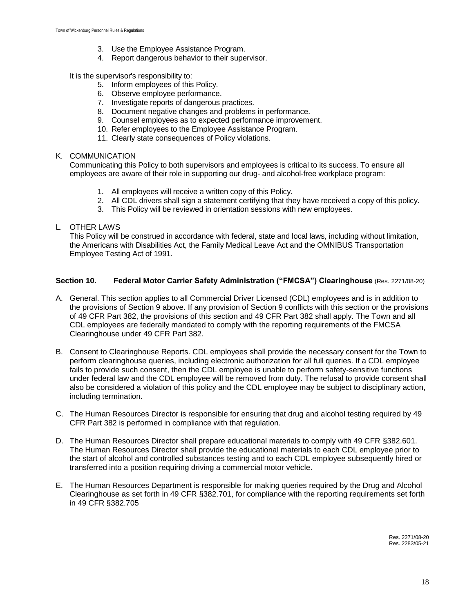- 3. Use the Employee Assistance Program.
- 4. Report dangerous behavior to their supervisor.

It is the supervisor's responsibility to:

- 5. Inform employees of this Policy.
- 6. Observe employee performance.
- 7. Investigate reports of dangerous practices.
- 8. Document negative changes and problems in performance.
- 9. Counsel employees as to expected performance improvement.
- 10. Refer employees to the Employee Assistance Program.
- 11. Clearly state consequences of Policy violations.

#### K. COMMUNICATION

Communicating this Policy to both supervisors and employees is critical to its success. To ensure all employees are aware of their role in supporting our drug- and alcohol-free workplace program:

- 1. All employees will receive a written copy of this Policy.
- 2. All CDL drivers shall sign a statement certifying that they have received a copy of this policy.
- 3. This Policy will be reviewed in orientation sessions with new employees.
- L. OTHER LAWS

This Policy will be construed in accordance with federal, state and local laws, including without limitation, the Americans with Disabilities Act, the Family Medical Leave Act and the OMNIBUS Transportation Employee Testing Act of 1991.

## **Section 10. Federal Motor Carrier Safety Administration ("FMCSA") Clearinghouse** (Res. 2271/08-20)

- A. General. This section applies to all Commercial Driver Licensed (CDL) employees and is in addition to the provisions of Section 9 above. If any provision of Section 9 conflicts with this section or the provisions of 49 CFR Part 382, the provisions of this section and 49 CFR Part 382 shall apply. The Town and all CDL employees are federally mandated to comply with the reporting requirements of the FMCSA Clearinghouse under 49 CFR Part 382.
- B. Consent to Clearinghouse Reports. CDL employees shall provide the necessary consent for the Town to perform clearinghouse queries, including electronic authorization for all full queries. If a CDL employee fails to provide such consent, then the CDL employee is unable to perform safety-sensitive functions under federal law and the CDL employee will be removed from duty. The refusal to provide consent shall also be considered a violation of this policy and the CDL employee may be subject to disciplinary action, including termination.
- C. The Human Resources Director is responsible for ensuring that drug and alcohol testing required by 49 CFR Part 382 is performed in compliance with that regulation.
- D. The Human Resources Director shall prepare educational materials to comply with 49 CFR §382.601. The Human Resources Director shall provide the educational materials to each CDL employee prior to the start of alcohol and controlled substances testing and to each CDL employee subsequently hired or transferred into a position requiring driving a commercial motor vehicle.
- E. The Human Resources Department is responsible for making queries required by the Drug and Alcohol Clearinghouse as set forth in 49 CFR §382.701, for compliance with the reporting requirements set forth in 49 CFR §382.705

Res. 2271/08-20 Res. 2283/05-21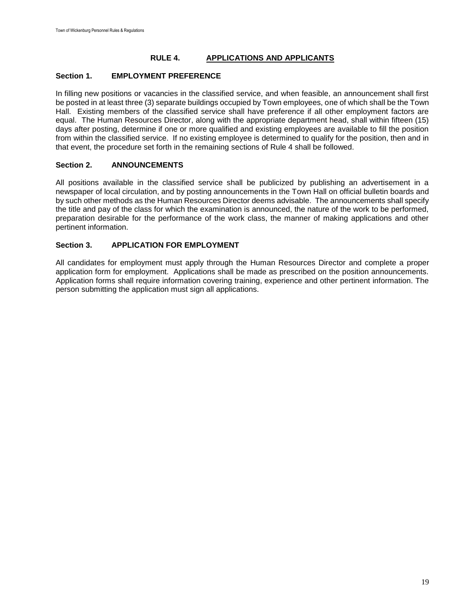# **RULE 4. APPLICATIONS AND APPLICANTS**

### **Section 1. EMPLOYMENT PREFERENCE**

In filling new positions or vacancies in the classified service, and when feasible, an announcement shall first be posted in at least three (3) separate buildings occupied by Town employees, one of which shall be the Town Hall. Existing members of the classified service shall have preference if all other employment factors are equal. The Human Resources Director, along with the appropriate department head, shall within fifteen (15) days after posting, determine if one or more qualified and existing employees are available to fill the position from within the classified service. If no existing employee is determined to qualify for the position, then and in that event, the procedure set forth in the remaining sections of Rule 4 shall be followed.

# **Section 2. ANNOUNCEMENTS**

All positions available in the classified service shall be publicized by publishing an advertisement in a newspaper of local circulation, and by posting announcements in the Town Hall on official bulletin boards and by such other methods as the Human Resources Director deems advisable. The announcements shall specify the title and pay of the class for which the examination is announced, the nature of the work to be performed, preparation desirable for the performance of the work class, the manner of making applications and other pertinent information.

# **Section 3. APPLICATION FOR EMPLOYMENT**

All candidates for employment must apply through the Human Resources Director and complete a proper application form for employment. Applications shall be made as prescribed on the position announcements. Application forms shall require information covering training, experience and other pertinent information. The person submitting the application must sign all applications.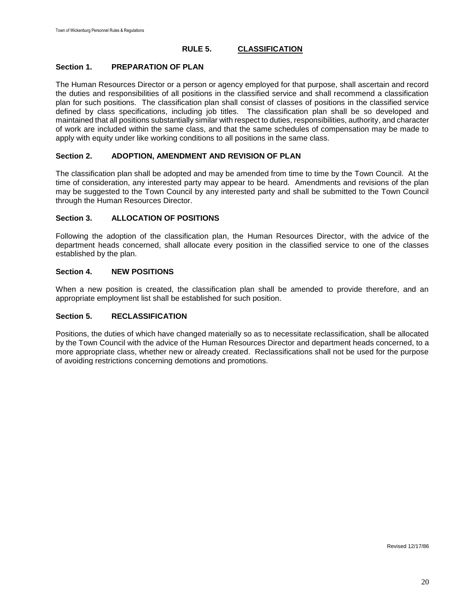# **RULE 5. CLASSIFICATION**

## **Section 1. PREPARATION OF PLAN**

The Human Resources Director or a person or agency employed for that purpose, shall ascertain and record the duties and responsibilities of all positions in the classified service and shall recommend a classification plan for such positions. The classification plan shall consist of classes of positions in the classified service defined by class specifications, including job titles. The classification plan shall be so developed and maintained that all positions substantially similar with respect to duties, responsibilities, authority, and character of work are included within the same class, and that the same schedules of compensation may be made to apply with equity under like working conditions to all positions in the same class.

#### **Section 2. ADOPTION, AMENDMENT AND REVISION OF PLAN**

The classification plan shall be adopted and may be amended from time to time by the Town Council. At the time of consideration, any interested party may appear to be heard. Amendments and revisions of the plan may be suggested to the Town Council by any interested party and shall be submitted to the Town Council through the Human Resources Director.

# **Section 3. ALLOCATION OF POSITIONS**

Following the adoption of the classification plan, the Human Resources Director, with the advice of the department heads concerned, shall allocate every position in the classified service to one of the classes established by the plan.

# **Section 4. NEW POSITIONS**

When a new position is created, the classification plan shall be amended to provide therefore, and an appropriate employment list shall be established for such position.

#### **Section 5. RECLASSIFICATION**

Positions, the duties of which have changed materially so as to necessitate reclassification, shall be allocated by the Town Council with the advice of the Human Resources Director and department heads concerned, to a more appropriate class, whether new or already created. Reclassifications shall not be used for the purpose of avoiding restrictions concerning demotions and promotions.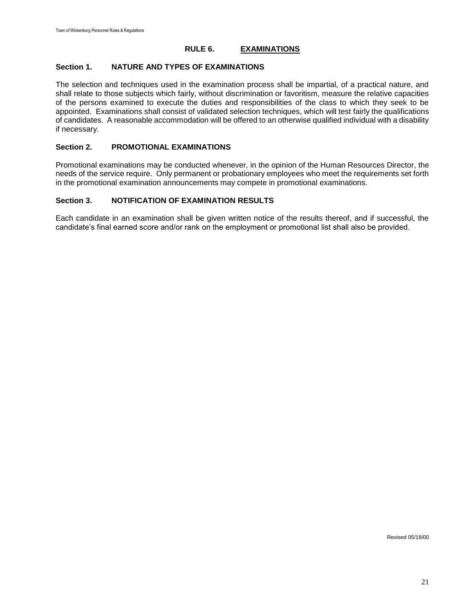# **RULE 6. EXAMINATIONS**

# **Section 1. NATURE AND TYPES OF EXAMINATIONS**

The selection and techniques used in the examination process shall be impartial, of a practical nature, and shall relate to those subjects which fairly, without discrimination or favoritism, measure the relative capacities of the persons examined to execute the duties and responsibilities of the class to which they seek to be appointed. Examinations shall consist of validated selection techniques, which will test fairly the qualifications of candidates. A reasonable accommodation will be offered to an otherwise qualified individual with a disability if necessary.

# **Section 2. PROMOTIONAL EXAMINATIONS**

Promotional examinations may be conducted whenever, in the opinion of the Human Resources Director, the needs of the service require. Only permanent or probationary employees who meet the requirements set forth in the promotional examination announcements may compete in promotional examinations.

## **Section 3. NOTIFICATION OF EXAMINATION RESULTS**

Each candidate in an examination shall be given written notice of the results thereof, and if successful, the candidate's final earned score and/or rank on the employment or promotional list shall also be provided.

Revised 05/18/00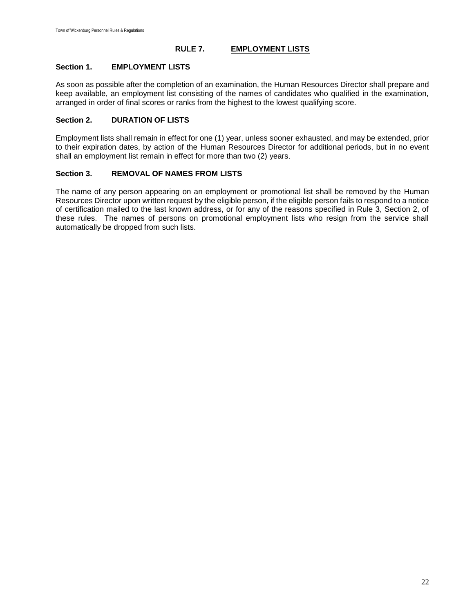# **RULE 7. EMPLOYMENT LISTS**

## **Section 1. EMPLOYMENT LISTS**

As soon as possible after the completion of an examination, the Human Resources Director shall prepare and keep available, an employment list consisting of the names of candidates who qualified in the examination, arranged in order of final scores or ranks from the highest to the lowest qualifying score.

## **Section 2. DURATION OF LISTS**

Employment lists shall remain in effect for one (1) year, unless sooner exhausted, and may be extended, prior to their expiration dates, by action of the Human Resources Director for additional periods, but in no event shall an employment list remain in effect for more than two (2) years.

# **Section 3. REMOVAL OF NAMES FROM LISTS**

The name of any person appearing on an employment or promotional list shall be removed by the Human Resources Director upon written request by the eligible person, if the eligible person fails to respond to a notice of certification mailed to the last known address, or for any of the reasons specified in Rule 3, Section 2, of these rules. The names of persons on promotional employment lists who resign from the service shall automatically be dropped from such lists.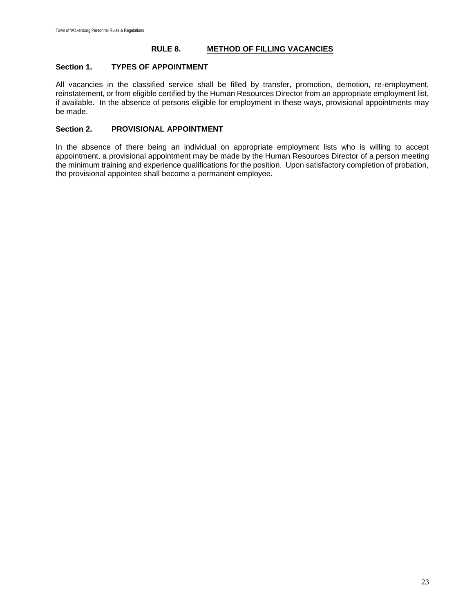# **RULE 8. METHOD OF FILLING VACANCIES**

## **Section 1. TYPES OF APPOINTMENT**

All vacancies in the classified service shall be filled by transfer, promotion, demotion, re-employment, reinstatement, or from eligible certified by the Human Resources Director from an appropriate employment list, if available. In the absence of persons eligible for employment in these ways, provisional appointments may be made.

## **Section 2. PROVISIONAL APPOINTMENT**

In the absence of there being an individual on appropriate employment lists who is willing to accept appointment, a provisional appointment may be made by the Human Resources Director of a person meeting the minimum training and experience qualifications for the position. Upon satisfactory completion of probation, the provisional appointee shall become a permanent employee.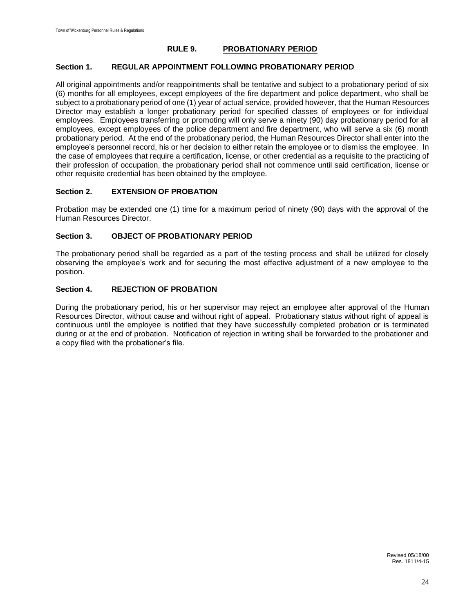# **RULE 9. PROBATIONARY PERIOD**

#### **Section 1. REGULAR APPOINTMENT FOLLOWING PROBATIONARY PERIOD**

All original appointments and/or reappointments shall be tentative and subject to a probationary period of six (6) months for all employees, except employees of the fire department and police department, who shall be subject to a probationary period of one (1) year of actual service, provided however, that the Human Resources Director may establish a longer probationary period for specified classes of employees or for individual employees. Employees transferring or promoting will only serve a ninety (90) day probationary period for all employees, except employees of the police department and fire department, who will serve a six (6) month probationary period. At the end of the probationary period, the Human Resources Director shall enter into the employee's personnel record, his or her decision to either retain the employee or to dismiss the employee. In the case of employees that require a certification, license, or other credential as a requisite to the practicing of their profession of occupation, the probationary period shall not commence until said certification, license or other requisite credential has been obtained by the employee.

#### **Section 2. EXTENSION OF PROBATION**

Probation may be extended one (1) time for a maximum period of ninety (90) days with the approval of the Human Resources Director.

# **Section 3. OBJECT OF PROBATIONARY PERIOD**

The probationary period shall be regarded as a part of the testing process and shall be utilized for closely observing the employee's work and for securing the most effective adjustment of a new employee to the position.

## **Section 4. REJECTION OF PROBATION**

During the probationary period, his or her supervisor may reject an employee after approval of the Human Resources Director, without cause and without right of appeal. Probationary status without right of appeal is continuous until the employee is notified that they have successfully completed probation or is terminated during or at the end of probation. Notification of rejection in writing shall be forwarded to the probationer and a copy filed with the probationer's file.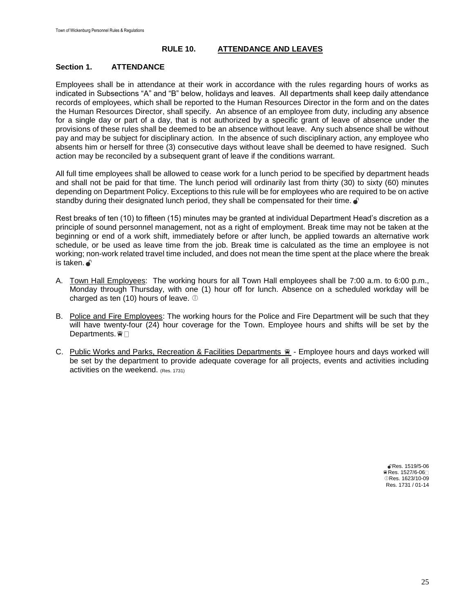## **RULE 10. ATTENDANCE AND LEAVES**

#### **Section 1. ATTENDANCE**

Employees shall be in attendance at their work in accordance with the rules regarding hours of works as indicated in Subsections "A" and "B" below, holidays and leaves. All departments shall keep daily attendance records of employees, which shall be reported to the Human Resources Director in the form and on the dates the Human Resources Director, shall specify. An absence of an employee from duty, including any absence for a single day or part of a day, that is not authorized by a specific grant of leave of absence under the provisions of these rules shall be deemed to be an absence without leave. Any such absence shall be without pay and may be subject for disciplinary action. In the absence of such disciplinary action, any employee who absents him or herself for three (3) consecutive days without leave shall be deemed to have resigned. Such action may be reconciled by a subsequent grant of leave if the conditions warrant.

All full time employees shall be allowed to cease work for a lunch period to be specified by department heads and shall not be paid for that time. The lunch period will ordinarily last from thirty (30) to sixty (60) minutes depending on Department Policy. Exceptions to this rule will be for employees who are required to be on active standby during their designated lunch period, they shall be compensated for their time.

Rest breaks of ten (10) to fifteen (15) minutes may be granted at individual Department Head's discretion as a principle of sound personnel management, not as a right of employment. Break time may not be taken at the beginning or end of a work shift, immediately before or after lunch, be applied towards an alternative work schedule, or be used as leave time from the job. Break time is calculated as the time an employee is not working; non-work related travel time included, and does not mean the time spent at the place where the break is taken.

- A. Town Hall Employees: The working hours for all Town Hall employees shall be 7:00 a.m. to 6:00 p.m., Monday through Thursday, with one (1) hour off for lunch. Absence on a scheduled workday will be charged as ten  $(10)$  hours of leave.  $\mathbb O$
- B. Police and Fire Employees: The working hours for the Police and Fire Department will be such that they will have twenty-four (24) hour coverage for the Town. Employee hours and shifts will be set by the Departments.  $\mathbb{R} \square$
- C. Public Works and Parks, Recreation & Facilities Departments  $\mathbb{R}$  Employee hours and days worked will be set by the department to provide adequate coverage for all projects, events and activities including activities on the weekend. (Res. 1731)

Res. 1519/5-06 **Res. 1527/6-06** Res. 1623/10-09 Res. 1731 / 01-14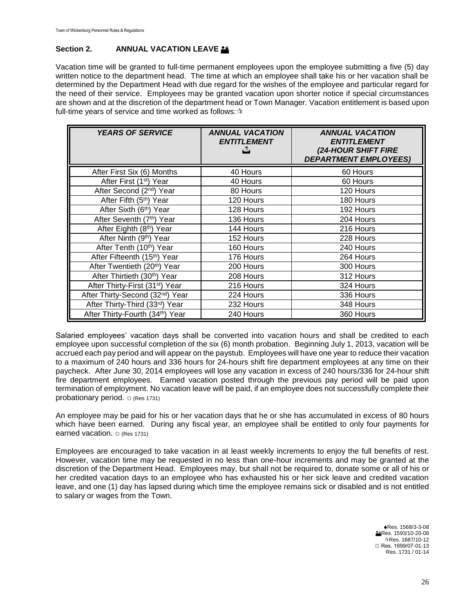# **Section 2. ANNUAL VACATION LEAVE &**

Vacation time will be granted to full-time permanent employees upon the employee submitting a five (5) day written notice to the department head. The time at which an employee shall take his or her vacation shall be determined by the Department Head with due regard for the wishes of the employee and particular regard for the need of their service. Employees may be granted vacation upon shorter notice if special circumstances are shown and at the discretion of the department head or Town Manager. Vacation entitlement is based upon full-time years of service and time worked as follows:  $\mathbf{\hat{x}}$ 

| <b>YEARS OF SERVICE</b>                     | <b>ANNUAL VACATION</b><br><b>ENTITLEMENT</b> | <b>ANNUAL VACATION</b><br><b>ENTITLEMENT</b><br>(24-HOUR SHIFT FIRE<br><b>DEPARTMENT EMPLOYEES)</b> |
|---------------------------------------------|----------------------------------------------|-----------------------------------------------------------------------------------------------------|
| After First Six (6) Months                  | 40 Hours                                     | 60 Hours                                                                                            |
| After First (1 <sup>st</sup> ) Year         | 40 Hours                                     | 60 Hours                                                                                            |
| After Second (2 <sup>nd</sup> ) Year        | 80 Hours                                     | 120 Hours                                                                                           |
| After Fifth (5th) Year                      | 120 Hours                                    | 180 Hours                                                                                           |
| After Sixth (6th) Year                      | 128 Hours                                    | 192 Hours                                                                                           |
| After Seventh (7th) Year                    | 136 Hours                                    | 204 Hours                                                                                           |
| After Eighth (8th) Year                     | 144 Hours                                    | 216 Hours                                                                                           |
| After Ninth (9th) Year                      | 152 Hours                                    | 228 Hours                                                                                           |
| After Tenth (10 <sup>th</sup> ) Year        | 160 Hours                                    | 240 Hours                                                                                           |
| After Fifteenth (15th) Year                 | 176 Hours                                    | 264 Hours                                                                                           |
| After Twentieth (20 <sup>th</sup> ) Year    | 200 Hours                                    | 300 Hours                                                                                           |
| After Thirtieth (30 <sup>th</sup> ) Year    | 208 Hours                                    | 312 Hours                                                                                           |
| After Thirty-First (31 <sup>st</sup> ) Year | 216 Hours                                    | 324 Hours                                                                                           |
| After Thirty-Second (32nd) Year             | 224 Hours                                    | 336 Hours                                                                                           |
| After Thirty-Third (33rd) Year              | 232 Hours                                    | 348 Hours                                                                                           |
| After Thirty-Fourth (34th) Year             | 240 Hours                                    | 360 Hours                                                                                           |

Salaried employees' vacation days shall be converted into vacation hours and shall be credited to each employee upon successful completion of the six (6) month probation. Beginning July 1, 2013, vacation will be accrued each pay period and will appear on the paystub. Employees will have one year to reduce their vacation to a maximum of 240 hours and 336 hours for 24-hours shift fire department employees at any time on their paycheck. After June 30, 2014 employees will lose any vacation in excess of 240 hours/336 for 24-hour shift fire department employees. Earned vacation posted through the previous pay period will be paid upon termination of employment. No vacation leave will be paid, if an employee does not successfully complete their probationary period. ☼ (Res 1731)

An employee may be paid for his or her vacation days that he or she has accumulated in excess of 80 hours which have been earned. During any fiscal year, an employee shall be entitled to only four payments for earned vacation.  $\mathfrak{B}$  (Res 1731)

Employees are encouraged to take vacation in at least weekly increments to enjoy the full benefits of rest. However, vacation time may be requested in no less than one-hour increments and may be granted at the discretion of the Department Head. Employees may, but shall not be required to, donate some or all of his or her credited vacation days to an employee who has exhausted his or her sick leave and credited vacation leave, and one (1) day has lapsed during which time the employee remains sick or disabled and is not entitled to salary or wages from the Town.

> Res. 1568/3-3-08 *Res.* 1593/10-20-08 ☆Res. 1687/10-12 ☼ Res. 1699/07-01-13 Res. 1731 / 01-14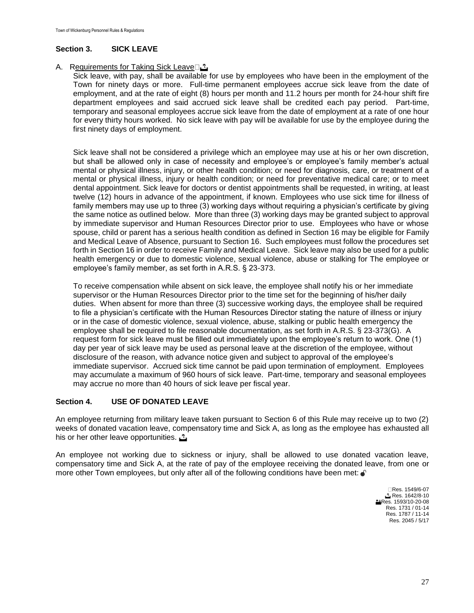# **Section 3. SICK LEAVE**

A. Requirements for Taking Sick Leave

Sick leave, with pay, shall be available for use by employees who have been in the employment of the Town for ninety days or more. Full-time permanent employees accrue sick leave from the date of employment, and at the rate of eight (8) hours per month and 11.2 hours per month for 24-hour shift fire department employees and said accrued sick leave shall be credited each pay period. Part-time, temporary and seasonal employees accrue sick leave from the date of employment at a rate of one hour for every thirty hours worked. No sick leave with pay will be available for use by the employee during the first ninety days of employment.

Sick leave shall not be considered a privilege which an employee may use at his or her own discretion, but shall be allowed only in case of necessity and employee's or employee's family member's actual mental or physical illness, injury, or other health condition; or need for diagnosis, care, or treatment of a mental or physical illness, injury or health condition; or need for preventative medical care; or to meet dental appointment. Sick leave for doctors or dentist appointments shall be requested, in writing, at least twelve (12) hours in advance of the appointment, if known. Employees who use sick time for illness of family members may use up to three (3) working days without requiring a physician's certificate by giving the same notice as outlined below. More than three (3) working days may be granted subject to approval by immediate supervisor and Human Resources Director prior to use. Employees who have or whose spouse, child or parent has a serious health condition as defined in Section 16 may be eligible for Family and Medical Leave of Absence, pursuant to Section 16. Such employees must follow the procedures set forth in Section 16 in order to receive Family and Medical Leave.Sick leave may also be used for a public health emergency or due to domestic violence, sexual violence, abuse or stalking for The employee or employee's family member, as set forth in A.R.S. § 23-373.

To receive compensation while absent on sick leave, the employee shall notify his or her immediate supervisor or the Human Resources Director prior to the time set for the beginning of his/her daily duties. When absent for more than three (3) successive working days, the employee shall be required to file a physician's certificate with the Human Resources Director stating the nature of illness or injury or in the case of domestic violence, sexual violence, abuse, stalking or public health emergency the employee shall be required to file reasonable documentation, as set forth in A.R.S. § 23-373(G). A request form for sick leave must be filled out immediately upon the employee's return to work. One (1) day per year of sick leave may be used as personal leave at the discretion of the employee, without disclosure of the reason, with advance notice given and subject to approval of the employee's immediate supervisor. Accrued sick time cannot be paid upon termination of employment. Employees may accumulate a maximum of 960 hours of sick leave. Part-time, temporary and seasonal employees may accrue no more than 40 hours of sick leave per fiscal year.

# **Section 4. USE OF DONATED LEAVE**

An employee returning from military leave taken pursuant to Section 6 of this Rule may receive up to two (2) weeks of donated vacation leave, compensatory time and Sick A, as long as the employee has exhausted all his or her other leave opportunities.  $\triangle$ 

An employee not working due to sickness or injury, shall be allowed to use donated vacation leave, compensatory time and Sick A, at the rate of pay of the employee receiving the donated leave, from one or more other Town employees, but only after all of the following conditions have been met:  $\mathcal \cdot$ 

> Res. 1549/6-07 Res. 1642/8-10 Res. 1593/10-20-08 Res. 1731 / 01-14 Res. 1787 / 11-14 Res. 2045 / 5/17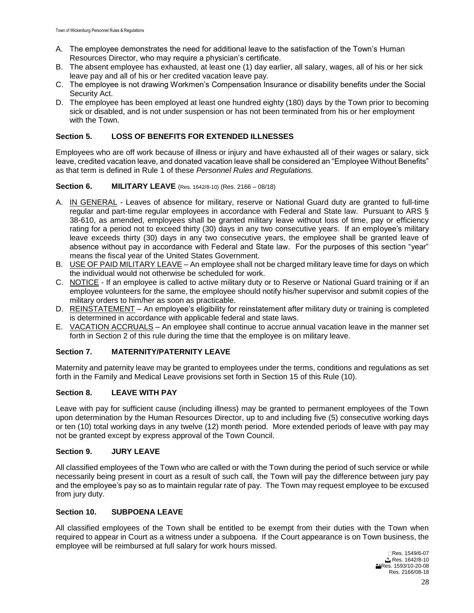- A. The employee demonstrates the need for additional leave to the satisfaction of the Town's Human Resources Director, who may require a physician's certificate.
- B. The absent employee has exhausted, at least one (1) day earlier, all salary, wages, all of his or her sick leave pay and all of his or her credited vacation leave pay.
- C. The employee is not drawing Workmen's Compensation Insurance or disability benefits under the Social Security Act.
- D. The employee has been employed at least one hundred eighty (180) days by the Town prior to becoming sick or disabled, and is not under suspension or has not been terminated from his or her employment with the Town.

# **Section 5. LOSS OF BENEFITS FOR EXTENDED ILLNESSES**

Employees who are off work because of illness or injury and have exhausted all of their wages or salary, sick leave, credited vacation leave, and donated vacation leave shall be considered an "Employee Without Benefits" as that term is defined in Rule 1 of these *Personnel Rules and Regulations.*

# **Section 6. MILITARY LEAVE** (Res. 1642/8-10) (Res. 2166 – 08/18)

- A. IN GENERAL Leaves of absence for military, reserve or National Guard duty are granted to full-time regular and part-time regular employees in accordance with Federal and State law. Pursuant to ARS § 38-610, as amended, employees shall be granted military leave without loss of time, pay or efficiency rating for a period not to exceed thirty (30) days in any two consecutive years. If an employee's military leave exceeds thirty (30) days in any two consecutive years, the employee shall be granted leave of absence without pay in accordance with Federal and State law. For the purposes of this section "year" means the fiscal year of the United States Government.
- B. USE OF PAID MILITARY LEAVE An employee shall not be charged military leave time for days on which the individual would not otherwise be scheduled for work.
- C. NOTICE If an employee is called to active military duty or to Reserve or National Guard training or if an employee volunteers for the same, the employee should notify his/her supervisor and submit copies of the military orders to him/her as soon as practicable.
- D. REINSTATEMENT An employee's eligibility for reinstatement after military duty or training is completed is determined in accordance with applicable federal and state laws.
- E. VACATION ACCRUALS An employee shall continue to accrue annual vacation leave in the manner set forth in Section 2 of this rule during the time that the employee is on military leave.

# **Section 7. MATERNITY/PATERNITY LEAVE**

Maternity and paternity leave may be granted to employees under the terms, conditions and regulations as set forth in the Family and Medical Leave provisions set forth in Section 15 of this Rule (10).

# **Section 8. LEAVE WITH PAY**

Leave with pay for sufficient cause (including illness) may be granted to permanent employees of the Town upon determination by the Human Resources Director, up to and including five (5) consecutive working days or ten (10) total working days in any twelve (12) month period. More extended periods of leave with pay may not be granted except by express approval of the Town Council.

#### **Section 9. JURY LEAVE**

All classified employees of the Town who are called or with the Town during the period of such service or while necessarily being present in court as a result of such call, the Town will pay the difference between jury pay and the employee's pay so as to maintain regular rate of pay. The Town may request employee to be excused from jury duty.

# **Section 10. SUBPOENA LEAVE**

All classified employees of the Town shall be entitled to be exempt from their duties with the Town when required to appear in Court as a witness under a subpoena. If the Court appearance is on Town business, the employee will be reimbursed at full salary for work hours missed.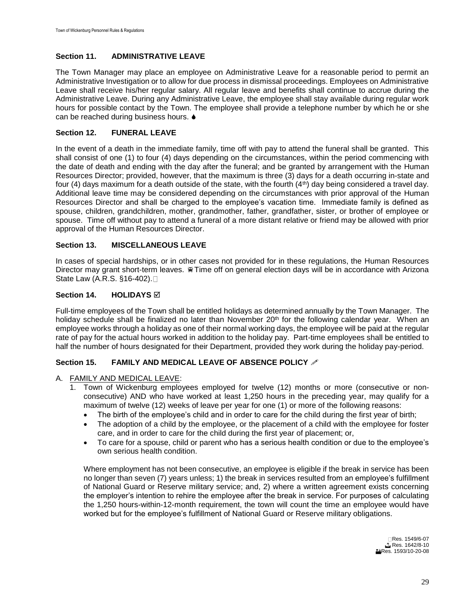# **Section 11. ADMINISTRATIVE LEAVE**

The Town Manager may place an employee on Administrative Leave for a reasonable period to permit an Administrative Investigation or to allow for due process in dismissal proceedings. Employees on Administrative Leave shall receive his/her regular salary. All regular leave and benefits shall continue to accrue during the Administrative Leave. During any Administrative Leave, the employee shall stay available during regular work hours for possible contact by the Town. The employee shall provide a telephone number by which he or she can be reached during business hours.  $\bullet$ 

# **Section 12. FUNERAL LEAVE**

In the event of a death in the immediate family, time off with pay to attend the funeral shall be granted. This shall consist of one (1) to four (4) days depending on the circumstances, within the period commencing with the date of death and ending with the day after the funeral; and be granted by arrangement with the Human Resources Director; provided, however, that the maximum is three (3) days for a death occurring in-state and four (4) days maximum for a death outside of the state, with the fourth  $(4<sup>th</sup>)$  day being considered a travel day. Additional leave time may be considered depending on the circumstances with prior approval of the Human Resources Director and shall be charged to the employee's vacation time. Immediate family is defined as spouse, children, grandchildren, mother, grandmother, father, grandfather, sister, or brother of employee or spouse. Time off without pay to attend a funeral of a more distant relative or friend may be allowed with prior approval of the Human Resources Director.

# **Section 13. MISCELLANEOUS LEAVE**

In cases of special hardships, or in other cases not provided for in these regulations, the Human Resources Director may grant short-term leaves. The off on general election days will be in accordance with Arizona State Law (A.R.S. §16-402).□

## **Section 14. HOLIDAYS**

Full-time employees of the Town shall be entitled holidays as determined annually by the Town Manager. The holiday schedule shall be finalized no later than November 20<sup>th</sup> for the following calendar year. When an employee works through a holiday as one of their normal working days, the employee will be paid at the regular rate of pay for the actual hours worked in addition to the holiday pay. Part-time employees shall be entitled to half the number of hours designated for their Department, provided they work during the holiday pay-period.

# **Section 15. FAMILY AND MEDICAL LEAVE OF ABSENCE POLICY**

- A. FAMILY AND MEDICAL LEAVE:
	- 1. Town of Wickenburg employees employed for twelve (12) months or more (consecutive or nonconsecutive) AND who have worked at least 1,250 hours in the preceding year, may qualify for a maximum of twelve (12) weeks of leave per year for one (1) or more of the following reasons:
		- The birth of the employee's child and in order to care for the child during the first year of birth;
		- The adoption of a child by the employee, or the placement of a child with the employee for foster care, and in order to care for the child during the first year of placement; or,
		- To care for a spouse, child or parent who has a serious health condition or due to the employee's own serious health condition.

Where employment has not been consecutive, an employee is eligible if the break in service has been no longer than seven (7) years unless; 1) the break in services resulted from an employee's fulfillment of National Guard or Reserve military service; and, 2) where a written agreement exists concerning the employer's intention to rehire the employee after the break in service. For purposes of calculating the 1,250 hours-within-12-month requirement, the town will count the time an employee would have worked but for the employee's fulfillment of National Guard or Reserve military obligations.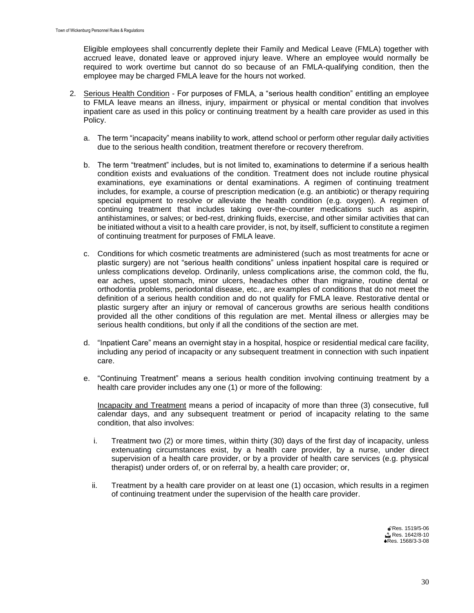Eligible employees shall concurrently deplete their Family and Medical Leave (FMLA) together with accrued leave, donated leave or approved injury leave. Where an employee would normally be required to work overtime but cannot do so because of an FMLA-qualifying condition, then the employee may be charged FMLA leave for the hours not worked.

- 2. Serious Health Condition For purposes of FMLA, a "serious health condition" entitling an employee to FMLA leave means an illness, injury, impairment or physical or mental condition that involves inpatient care as used in this policy or continuing treatment by a health care provider as used in this Policy.
	- a. The term "incapacity" means inability to work, attend school or perform other regular daily activities due to the serious health condition, treatment therefore or recovery therefrom.
	- b. The term "treatment" includes, but is not limited to, examinations to determine if a serious health condition exists and evaluations of the condition. Treatment does not include routine physical examinations, eye examinations or dental examinations. A regimen of continuing treatment includes, for example, a course of prescription medication (e.g. an antibiotic) or therapy requiring special equipment to resolve or alleviate the health condition (e.g. oxygen). A regimen of continuing treatment that includes taking over-the-counter medications such as aspirin, antihistamines, or salves; or bed-rest, drinking fluids, exercise, and other similar activities that can be initiated without a visit to a health care provider, is not, by itself, sufficient to constitute a regimen of continuing treatment for purposes of FMLA leave.
	- c. Conditions for which cosmetic treatments are administered (such as most treatments for acne or plastic surgery) are not "serious health conditions" unless inpatient hospital care is required or unless complications develop. Ordinarily, unless complications arise, the common cold, the flu, ear aches, upset stomach, minor ulcers, headaches other than migraine, routine dental or orthodontia problems, periodontal disease, etc., are examples of conditions that do not meet the definition of a serious health condition and do not qualify for FMLA leave. Restorative dental or plastic surgery after an injury or removal of cancerous growths are serious health conditions provided all the other conditions of this regulation are met. Mental illness or allergies may be serious health conditions, but only if all the conditions of the section are met.
	- d. "Inpatient Care" means an overnight stay in a hospital, hospice or residential medical care facility, including any period of incapacity or any subsequent treatment in connection with such inpatient care.
	- e. "Continuing Treatment" means a serious health condition involving continuing treatment by a health care provider includes any one (1) or more of the following:

Incapacity and Treatment means a period of incapacity of more than three (3) consecutive, full calendar days, and any subsequent treatment or period of incapacity relating to the same condition, that also involves:

- i. Treatment two (2) or more times, within thirty (30) days of the first day of incapacity, unless extenuating circumstances exist, by a health care provider, by a nurse, under direct supervision of a health care provider, or by a provider of health care services (e.g. physical therapist) under orders of, or on referral by, a health care provider; or,
- ii. Treatment by a health care provider on at least one (1) occasion, which results in a regimen of continuing treatment under the supervision of the health care provider.

**Res. 1519/5-06**  Res. 1642/8-10 Res. 1568/3-3-08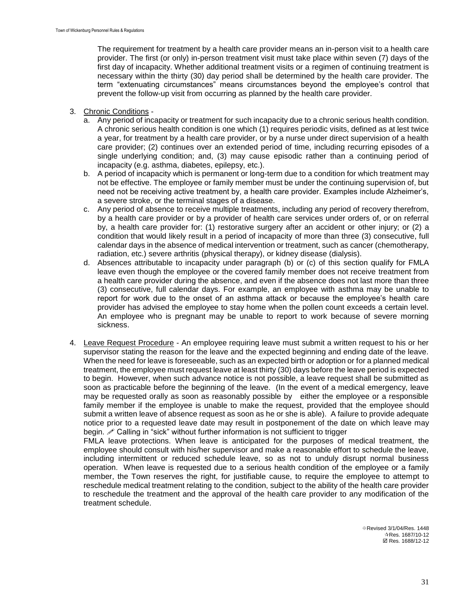The requirement for treatment by a health care provider means an in-person visit to a health care provider. The first (or only) in-person treatment visit must take place within seven (7) days of the first day of incapacity. Whether additional treatment visits or a regimen of continuing treatment is necessary within the thirty (30) day period shall be determined by the health care provider. The term "extenuating circumstances" means circumstances beyond the employee's control that prevent the follow-up visit from occurring as planned by the health care provider.

- 3. Chronic Conditions
	- a. Any period of incapacity or treatment for such incapacity due to a chronic serious health condition. A chronic serious health condition is one which (1) requires periodic visits, defined as at lest twice a year, for treatment by a health care provider, or by a nurse under direct supervision of a health care provider; (2) continues over an extended period of time, including recurring episodes of a single underlying condition; and, (3) may cause episodic rather than a continuing period of incapacity (e.g. asthma, diabetes, epilepsy, etc.).
	- b. A period of incapacity which is permanent or long-term due to a condition for which treatment may not be effective. The employee or family member must be under the continuing supervision of, but need not be receiving active treatment by, a health care provider. Examples include Alzheimer's, a severe stroke, or the terminal stages of a disease.
	- c. Any period of absence to receive multiple treatments, including any period of recovery therefrom, by a health care provider or by a provider of health care services under orders of, or on referral by, a health care provider for: (1) restorative surgery after an accident or other injury; or (2) a condition that would likely result in a period of incapacity of more than three (3) consecutive, full calendar days in the absence of medical intervention or treatment, such as cancer (chemotherapy, radiation, etc.) severe arthritis (physical therapy), or kidney disease (dialysis).
	- d. Absences attributable to incapacity under paragraph (b) or (c) of this section qualify for FMLA leave even though the employee or the covered family member does not receive treatment from a health care provider during the absence, and even if the absence does not last more than three (3) consecutive, full calendar days. For example, an employee with asthma may be unable to report for work due to the onset of an asthma attack or because the employee's health care provider has advised the employee to stay home when the pollen count exceeds a certain level. An employee who is pregnant may be unable to report to work because of severe morning sickness.
- 4. Leave Request Procedure An employee requiring leave must submit a written request to his or her supervisor stating the reason for the leave and the expected beginning and ending date of the leave. When the need for leave is foreseeable, such as an expected birth or adoption or for a planned medical treatment, the employee must request leave at least thirty (30) days before the leave period is expected to begin. However, when such advance notice is not possible, a leave request shall be submitted as soon as practicable before the beginning of the leave. (In the event of a medical emergency, leave may be requested orally as soon as reasonably possible by either the employee or a responsible family member if the employee is unable to make the request, provided that the employee should submit a written leave of absence request as soon as he or she is able). A failure to provide adequate notice prior to a requested leave date may result in postponement of the date on which leave may begin.  $\mathscr S$  Calling in "sick" without further information is not sufficient to trigger

FMLA leave protections. When leave is anticipated for the purposes of medical treatment, the employee should consult with his/her supervisor and make a reasonable effort to schedule the leave, including intermittent or reduced schedule leave, so as not to unduly disrupt normal business operation. When leave is requested due to a serious health condition of the employee or a family member, the Town reserves the right, for justifiable cause, to require the employee to attempt to reschedule medical treatment relating to the condition, subject to the ability of the health care provider to reschedule the treatment and the approval of the health care provider to any modification of the treatment schedule.

> Revised 3/1/04/Res. 1448  $R$ es. 1687/10-12 **Ø Res. 1688/12-12**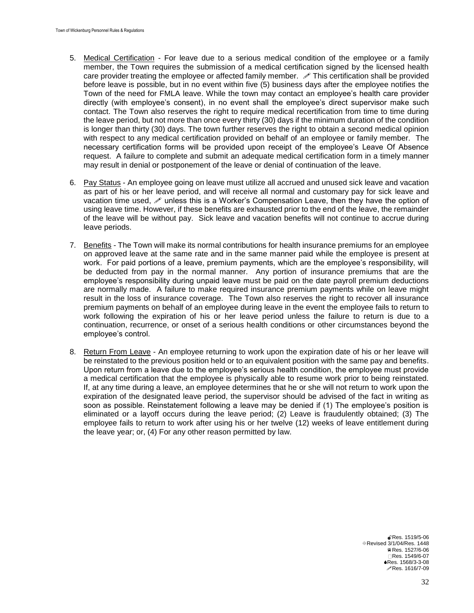- 5. Medical Certification For leave due to a serious medical condition of the employee or a family member, the Town requires the submission of a medical certification signed by the licensed health care provider treating the employee or affected family member.  $\mathscr I$  This certification shall be provided before leave is possible, but in no event within five (5) business days after the employee notifies the Town of the need for FMLA leave. While the town may contact an employee's health care provider directly (with employee's consent), in no event shall the employee's direct supervisor make such contact. The Town also reserves the right to require medical recertification from time to time during the leave period, but not more than once every thirty (30) days if the minimum duration of the condition is longer than thirty (30) days. The town further reserves the right to obtain a second medical opinion with respect to any medical certification provided on behalf of an employee or family member. The necessary certification forms will be provided upon receipt of the employee's Leave Of Absence request. A failure to complete and submit an adequate medical certification form in a timely manner may result in denial or postponement of the leave or denial of continuation of the leave.
- 6. Pay Status An employee going on leave must utilize all accrued and unused sick leave and vacation as part of his or her leave period, and will receive all normal and customary pay for sick leave and vacation time used,  $\mathscr I$  unless this is a Worker's Compensation Leave, then they have the option of using leave time. However, if these benefits are exhausted prior to the end of the leave, the remainder of the leave will be without pay. Sick leave and vacation benefits will not continue to accrue during leave periods.
- 7. Benefits The Town will make its normal contributions for health insurance premiums for an employee on approved leave at the same rate and in the same manner paid while the employee is present at work. For paid portions of a leave, premium payments, which are the employee's responsibility, will be deducted from pay in the normal manner. Any portion of insurance premiums that are the employee's responsibility during unpaid leave must be paid on the date payroll premium deductions are normally made. A failure to make required insurance premium payments while on leave might result in the loss of insurance coverage. The Town also reserves the right to recover all insurance premium payments on behalf of an employee during leave in the event the employee fails to return to work following the expiration of his or her leave period unless the failure to return is due to a continuation, recurrence, or onset of a serious health conditions or other circumstances beyond the employee's control.
- 8. Return From Leave An employee returning to work upon the expiration date of his or her leave will be reinstated to the previous position held or to an equivalent position with the same pay and benefits. Upon return from a leave due to the employee's serious health condition, the employee must provide a medical certification that the employee is physically able to resume work prior to being reinstated. If, at any time during a leave, an employee determines that he or she will not return to work upon the expiration of the designated leave period, the supervisor should be advised of the fact in writing as soon as possible. Reinstatement following a leave may be denied if (1) The employee's position is eliminated or a layoff occurs during the leave period; (2) Leave is fraudulently obtained; (3) The employee fails to return to work after using his or her twelve (12) weeks of leave entitlement during the leave year; or, (4) For any other reason permitted by law.

Res. 1519/5-06 Revised 3/1/04/Res. 1448 Res. 1527/6-06 Res. 1549/6-07 Res. 1568/3-3-08 Res. 1616/7-09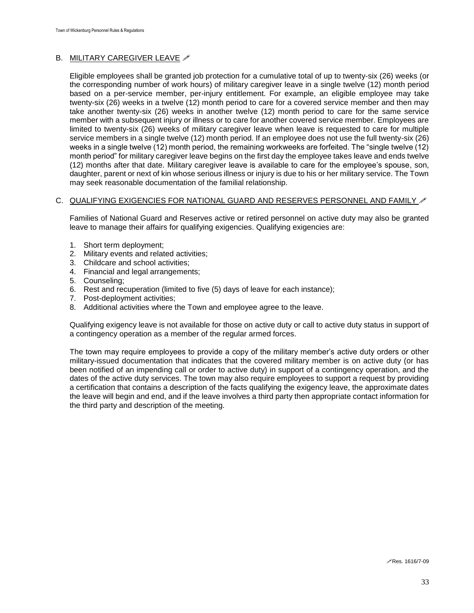# **B. MILITARY CAREGIVER LEAVE ✔**

Eligible employees shall be granted job protection for a cumulative total of up to twenty-six (26) weeks (or the corresponding number of work hours) of military caregiver leave in a single twelve (12) month period based on a per-service member, per-injury entitlement. For example, an eligible employee may take twenty-six (26) weeks in a twelve (12) month period to care for a covered service member and then may take another twenty-six (26) weeks in another twelve (12) month period to care for the same service member with a subsequent injury or illness or to care for another covered service member. Employees are limited to twenty-six (26) weeks of military caregiver leave when leave is requested to care for multiple service members in a single twelve (12) month period. If an employee does not use the full twenty-six (26) weeks in a single twelve (12) month period, the remaining workweeks are forfeited. The "single twelve (12) month period" for military caregiver leave begins on the first day the employee takes leave and ends twelve (12) months after that date. Military caregiver leave is available to care for the employee's spouse, son, daughter, parent or next of kin whose serious illness or injury is due to his or her military service. The Town may seek reasonable documentation of the familial relationship.

#### C. QUALIFYING EXIGENCIES FOR NATIONAL GUARD AND RESERVES PERSONNEL AND FAMILY  $\mathscr S$

Families of National Guard and Reserves active or retired personnel on active duty may also be granted leave to manage their affairs for qualifying exigencies. Qualifying exigencies are:

- 1. Short term deployment;
- 2. Military events and related activities;
- 3. Childcare and school activities;
- 4. Financial and legal arrangements;
- 5. Counseling;
- 6. Rest and recuperation (limited to five (5) days of leave for each instance);
- 7. Post-deployment activities;
- 8. Additional activities where the Town and employee agree to the leave.

Qualifying exigency leave is not available for those on active duty or call to active duty status in support of a contingency operation as a member of the regular armed forces.

The town may require employees to provide a copy of the military member's active duty orders or other military-issued documentation that indicates that the covered military member is on active duty (or has been notified of an impending call or order to active duty) in support of a contingency operation, and the dates of the active duty services. The town may also require employees to support a request by providing a certification that contains a description of the facts qualifying the exigency leave, the approximate dates the leave will begin and end, and if the leave involves a third party then appropriate contact information for the third party and description of the meeting.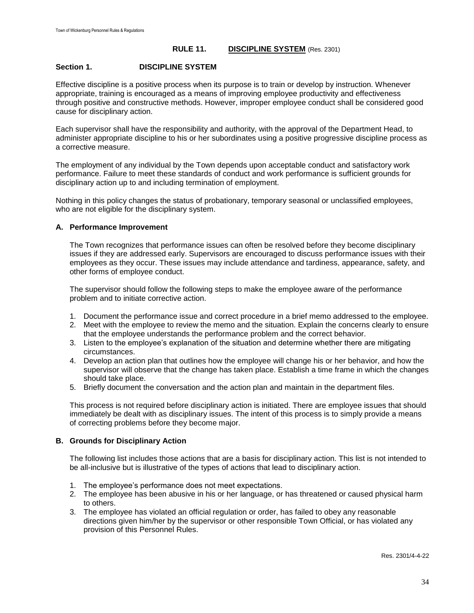## **RULE 11. DISCIPLINE SYSTEM** (Res. 2301)

#### **Section 1. DISCIPLINE SYSTEM**

Effective discipline is a positive process when its purpose is to train or develop by instruction. Whenever appropriate, training is encouraged as a means of improving employee productivity and effectiveness through positive and constructive methods. However, improper employee conduct shall be considered good cause for disciplinary action.

Each supervisor shall have the responsibility and authority, with the approval of the Department Head, to administer appropriate discipline to his or her subordinates using a positive progressive discipline process as a corrective measure.

The employment of any individual by the Town depends upon acceptable conduct and satisfactory work performance. Failure to meet these standards of conduct and work performance is sufficient grounds for disciplinary action up to and including termination of employment.

Nothing in this policy changes the status of probationary, temporary seasonal or unclassified employees, who are not eligible for the disciplinary system.

#### **A. Performance Improvement**

The Town recognizes that performance issues can often be resolved before they become disciplinary issues if they are addressed early. Supervisors are encouraged to discuss performance issues with their employees as they occur. These issues may include attendance and tardiness, appearance, safety, and other forms of employee conduct.

The supervisor should follow the following steps to make the employee aware of the performance problem and to initiate corrective action.

- 1. Document the performance issue and correct procedure in a brief memo addressed to the employee.
- 2. Meet with the employee to review the memo and the situation. Explain the concerns clearly to ensure that the employee understands the performance problem and the correct behavior.
- 3. Listen to the employee's explanation of the situation and determine whether there are mitigating circumstances.
- 4. Develop an action plan that outlines how the employee will change his or her behavior, and how the supervisor will observe that the change has taken place. Establish a time frame in which the changes should take place.
- 5. Briefly document the conversation and the action plan and maintain in the department files.

This process is not required before disciplinary action is initiated. There are employee issues that should immediately be dealt with as disciplinary issues. The intent of this process is to simply provide a means of correcting problems before they become major.

#### **B. Grounds for Disciplinary Action**

The following list includes those actions that are a basis for disciplinary action. This list is not intended to be all-inclusive but is illustrative of the types of actions that lead to disciplinary action.

- 1. The employee's performance does not meet expectations.
- 2. The employee has been abusive in his or her language, or has threatened or caused physical harm to others.
- 3. The employee has violated an official regulation or order, has failed to obey any reasonable directions given him/her by the supervisor or other responsible Town Official, or has violated any provision of this Personnel Rules.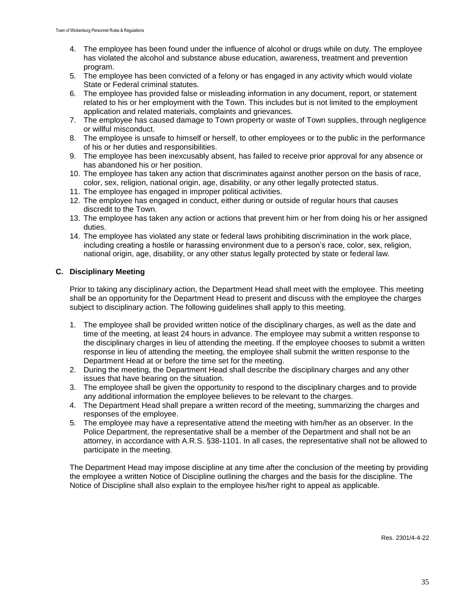- 4. The employee has been found under the influence of alcohol or drugs while on duty. The employee has violated the alcohol and substance abuse education, awareness, treatment and prevention program.
- 5. The employee has been convicted of a felony or has engaged in any activity which would violate State or Federal criminal statutes.
- 6. The employee has provided false or misleading information in any document, report, or statement related to his or her employment with the Town. This includes but is not limited to the employment application and related materials, complaints and grievances.
- 7. The employee has caused damage to Town property or waste of Town supplies, through negligence or willful misconduct.
- 8. The employee is unsafe to himself or herself, to other employees or to the public in the performance of his or her duties and responsibilities.
- 9. The employee has been inexcusably absent, has failed to receive prior approval for any absence or has abandoned his or her position.
- 10. The employee has taken any action that discriminates against another person on the basis of race, color, sex, religion, national origin, age, disability, or any other legally protected status.
- 11. The employee has engaged in improper political activities.
- 12. The employee has engaged in conduct, either during or outside of regular hours that causes discredit to the Town.
- 13. The employee has taken any action or actions that prevent him or her from doing his or her assigned duties.
- 14. The employee has violated any state or federal laws prohibiting discrimination in the work place, including creating a hostile or harassing environment due to a person's race, color, sex, religion, national origin, age, disability, or any other status legally protected by state or federal law.

# **C. Disciplinary Meeting**

Prior to taking any disciplinary action, the Department Head shall meet with the employee. This meeting shall be an opportunity for the Department Head to present and discuss with the employee the charges subject to disciplinary action. The following guidelines shall apply to this meeting.

- 1. The employee shall be provided written notice of the disciplinary charges, as well as the date and time of the meeting, at least 24 hours in advance. The employee may submit a written response to the disciplinary charges in lieu of attending the meeting. If the employee chooses to submit a written response in lieu of attending the meeting, the employee shall submit the written response to the Department Head at or before the time set for the meeting.
- 2. During the meeting, the Department Head shall describe the disciplinary charges and any other issues that have bearing on the situation.
- 3. The employee shall be given the opportunity to respond to the disciplinary charges and to provide any additional information the employee believes to be relevant to the charges.
- 4. The Department Head shall prepare a written record of the meeting, summarizing the charges and responses of the employee.
- 5. The employee may have a representative attend the meeting with him/her as an observer. In the Police Department, the representative shall be a member of the Department and shall not be an attorney, in accordance with A.R.S. §38-1101. In all cases, the representative shall not be allowed to participate in the meeting.

The Department Head may impose discipline at any time after the conclusion of the meeting by providing the employee a written Notice of Discipline outlining the charges and the basis for the discipline. The Notice of Discipline shall also explain to the employee his/her right to appeal as applicable.

Res. 2301/4-4-22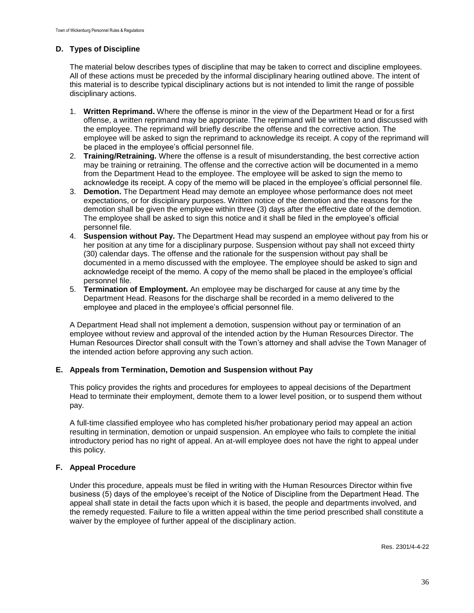# **D. Types of Discipline**

The material below describes types of discipline that may be taken to correct and discipline employees. All of these actions must be preceded by the informal disciplinary hearing outlined above. The intent of this material is to describe typical disciplinary actions but is not intended to limit the range of possible disciplinary actions.

- 1. **Written Reprimand.** Where the offense is minor in the view of the Department Head or for a first offense, a written reprimand may be appropriate. The reprimand will be written to and discussed with the employee. The reprimand will briefly describe the offense and the corrective action. The employee will be asked to sign the reprimand to acknowledge its receipt. A copy of the reprimand will be placed in the employee's official personnel file.
- 2. **Training/Retraining.** Where the offense is a result of misunderstanding, the best corrective action may be training or retraining. The offense and the corrective action will be documented in a memo from the Department Head to the employee. The employee will be asked to sign the memo to acknowledge its receipt. A copy of the memo will be placed in the employee's official personnel file.
- 3. **Demotion.** The Department Head may demote an employee whose performance does not meet expectations, or for disciplinary purposes. Written notice of the demotion and the reasons for the demotion shall be given the employee within three (3) days after the effective date of the demotion. The employee shall be asked to sign this notice and it shall be filed in the employee's official personnel file.
- 4. **Suspension without Pay.** The Department Head may suspend an employee without pay from his or her position at any time for a disciplinary purpose. Suspension without pay shall not exceed thirty (30) calendar days. The offense and the rationale for the suspension without pay shall be documented in a memo discussed with the employee. The employee should be asked to sign and acknowledge receipt of the memo. A copy of the memo shall be placed in the employee's official personnel file.
- 5. **Termination of Employment.** An employee may be discharged for cause at any time by the Department Head. Reasons for the discharge shall be recorded in a memo delivered to the employee and placed in the employee's official personnel file.

A Department Head shall not implement a demotion, suspension without pay or termination of an employee without review and approval of the intended action by the Human Resources Director. The Human Resources Director shall consult with the Town's attorney and shall advise the Town Manager of the intended action before approving any such action.

# **E. Appeals from Termination, Demotion and Suspension without Pay**

This policy provides the rights and procedures for employees to appeal decisions of the Department Head to terminate their employment, demote them to a lower level position, or to suspend them without pay.

A full-time classified employee who has completed his/her probationary period may appeal an action resulting in termination, demotion or unpaid suspension. An employee who fails to complete the initial introductory period has no right of appeal. An at-will employee does not have the right to appeal under this policy.

# **F. Appeal Procedure**

Under this procedure, appeals must be filed in writing with the Human Resources Director within five business (5) days of the employee's receipt of the Notice of Discipline from the Department Head. The appeal shall state in detail the facts upon which it is based, the people and departments involved, and the remedy requested. Failure to file a written appeal within the time period prescribed shall constitute a waiver by the employee of further appeal of the disciplinary action.

Res. 2301/4-4-22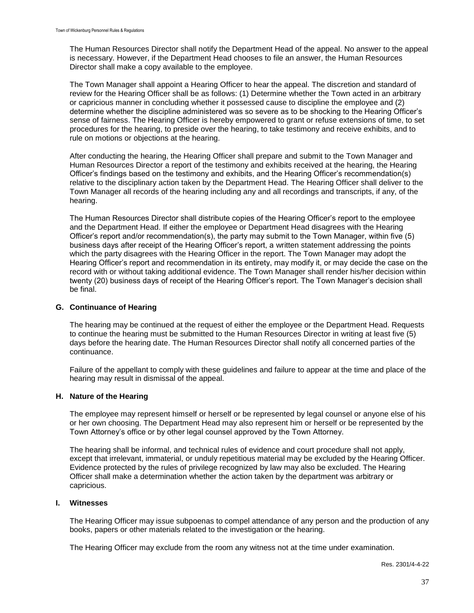The Human Resources Director shall notify the Department Head of the appeal. No answer to the appeal is necessary. However, if the Department Head chooses to file an answer, the Human Resources Director shall make a copy available to the employee.

The Town Manager shall appoint a Hearing Officer to hear the appeal. The discretion and standard of review for the Hearing Officer shall be as follows: (1) Determine whether the Town acted in an arbitrary or capricious manner in concluding whether it possessed cause to discipline the employee and (2) determine whether the discipline administered was so severe as to be shocking to the Hearing Officer's sense of fairness. The Hearing Officer is hereby empowered to grant or refuse extensions of time, to set procedures for the hearing, to preside over the hearing, to take testimony and receive exhibits, and to rule on motions or objections at the hearing.

After conducting the hearing, the Hearing Officer shall prepare and submit to the Town Manager and Human Resources Director a report of the testimony and exhibits received at the hearing, the Hearing Officer's findings based on the testimony and exhibits, and the Hearing Officer's recommendation(s) relative to the disciplinary action taken by the Department Head. The Hearing Officer shall deliver to the Town Manager all records of the hearing including any and all recordings and transcripts, if any, of the hearing.

The Human Resources Director shall distribute copies of the Hearing Officer's report to the employee and the Department Head. If either the employee or Department Head disagrees with the Hearing Officer's report and/or recommendation(s), the party may submit to the Town Manager, within five (5) business days after receipt of the Hearing Officer's report, a written statement addressing the points which the party disagrees with the Hearing Officer in the report. The Town Manager may adopt the Hearing Officer's report and recommendation in its entirety, may modify it, or may decide the case on the record with or without taking additional evidence. The Town Manager shall render his/her decision within twenty (20) business days of receipt of the Hearing Officer's report. The Town Manager's decision shall be final.

#### **G. Continuance of Hearing**

The hearing may be continued at the request of either the employee or the Department Head. Requests to continue the hearing must be submitted to the Human Resources Director in writing at least five (5) days before the hearing date. The Human Resources Director shall notify all concerned parties of the continuance.

Failure of the appellant to comply with these guidelines and failure to appear at the time and place of the hearing may result in dismissal of the appeal.

#### **H. Nature of the Hearing**

The employee may represent himself or herself or be represented by legal counsel or anyone else of his or her own choosing. The Department Head may also represent him or herself or be represented by the Town Attorney's office or by other legal counsel approved by the Town Attorney.

The hearing shall be informal, and technical rules of evidence and court procedure shall not apply, except that irrelevant, immaterial, or unduly repetitious material may be excluded by the Hearing Officer. Evidence protected by the rules of privilege recognized by law may also be excluded. The Hearing Officer shall make a determination whether the action taken by the department was arbitrary or capricious.

#### **I. Witnesses**

The Hearing Officer may issue subpoenas to compel attendance of any person and the production of any books, papers or other materials related to the investigation or the hearing.

The Hearing Officer may exclude from the room any witness not at the time under examination.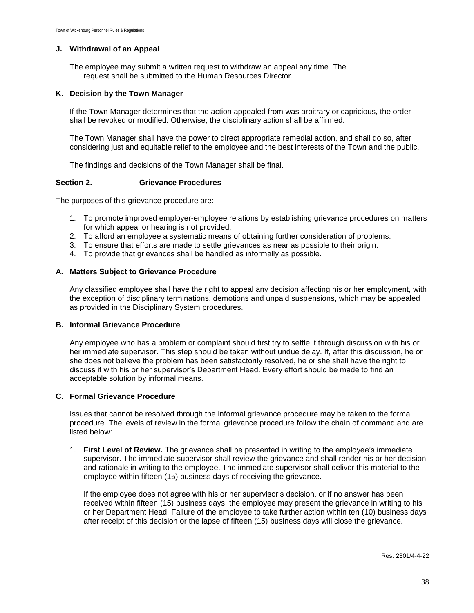#### **J. Withdrawal of an Appeal**

The employee may submit a written request to withdraw an appeal any time. The request shall be submitted to the Human Resources Director.

#### **K. Decision by the Town Manager**

If the Town Manager determines that the action appealed from was arbitrary or capricious, the order shall be revoked or modified. Otherwise, the disciplinary action shall be affirmed.

The Town Manager shall have the power to direct appropriate remedial action, and shall do so, after considering just and equitable relief to the employee and the best interests of the Town and the public.

The findings and decisions of the Town Manager shall be final.

#### **Section 2. Grievance Procedures**

The purposes of this grievance procedure are:

- 1. To promote improved employer-employee relations by establishing grievance procedures on matters for which appeal or hearing is not provided.
- 2. To afford an employee a systematic means of obtaining further consideration of problems.
- 3. To ensure that efforts are made to settle grievances as near as possible to their origin.
- 4. To provide that grievances shall be handled as informally as possible.

#### **A. Matters Subject to Grievance Procedure**

Any classified employee shall have the right to appeal any decision affecting his or her employment, with the exception of disciplinary terminations, demotions and unpaid suspensions, which may be appealed as provided in the Disciplinary System procedures.

#### **B. Informal Grievance Procedure**

Any employee who has a problem or complaint should first try to settle it through discussion with his or her immediate supervisor. This step should be taken without undue delay. If, after this discussion, he or she does not believe the problem has been satisfactorily resolved, he or she shall have the right to discuss it with his or her supervisor's Department Head. Every effort should be made to find an acceptable solution by informal means.

# **C. Formal Grievance Procedure**

Issues that cannot be resolved through the informal grievance procedure may be taken to the formal procedure. The levels of review in the formal grievance procedure follow the chain of command and are listed below:

1. **First Level of Review.** The grievance shall be presented in writing to the employee's immediate supervisor. The immediate supervisor shall review the grievance and shall render his or her decision and rationale in writing to the employee. The immediate supervisor shall deliver this material to the employee within fifteen (15) business days of receiving the grievance.

If the employee does not agree with his or her supervisor's decision, or if no answer has been received within fifteen (15) business days, the employee may present the grievance in writing to his or her Department Head. Failure of the employee to take further action within ten (10) business days after receipt of this decision or the lapse of fifteen (15) business days will close the grievance.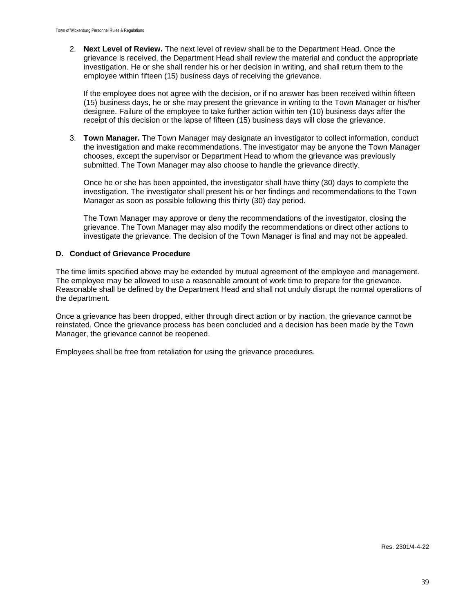2. **Next Level of Review.** The next level of review shall be to the Department Head. Once the grievance is received, the Department Head shall review the material and conduct the appropriate investigation. He or she shall render his or her decision in writing, and shall return them to the employee within fifteen (15) business days of receiving the grievance.

If the employee does not agree with the decision, or if no answer has been received within fifteen (15) business days, he or she may present the grievance in writing to the Town Manager or his/her designee. Failure of the employee to take further action within ten (10) business days after the receipt of this decision or the lapse of fifteen (15) business days will close the grievance.

3. **Town Manager.** The Town Manager may designate an investigator to collect information, conduct the investigation and make recommendations. The investigator may be anyone the Town Manager chooses, except the supervisor or Department Head to whom the grievance was previously submitted. The Town Manager may also choose to handle the grievance directly.

Once he or she has been appointed, the investigator shall have thirty (30) days to complete the investigation. The investigator shall present his or her findings and recommendations to the Town Manager as soon as possible following this thirty (30) day period.

The Town Manager may approve or deny the recommendations of the investigator, closing the grievance. The Town Manager may also modify the recommendations or direct other actions to investigate the grievance. The decision of the Town Manager is final and may not be appealed.

#### **D. Conduct of Grievance Procedure**

The time limits specified above may be extended by mutual agreement of the employee and management. The employee may be allowed to use a reasonable amount of work time to prepare for the grievance. Reasonable shall be defined by the Department Head and shall not unduly disrupt the normal operations of the department.

Once a grievance has been dropped, either through direct action or by inaction, the grievance cannot be reinstated. Once the grievance process has been concluded and a decision has been made by the Town Manager, the grievance cannot be reopened.

Employees shall be free from retaliation for using the grievance procedures.

Res. 2301/4-4-22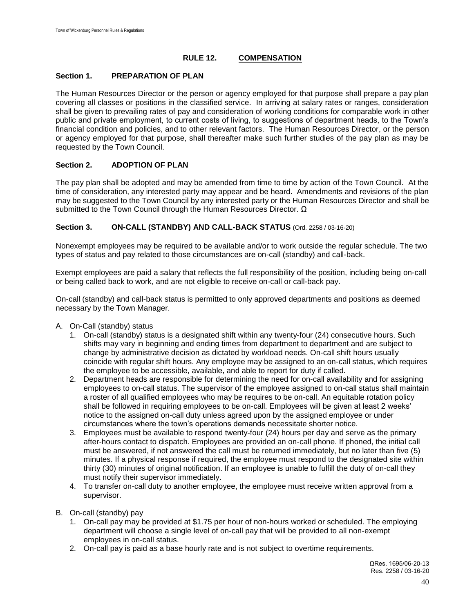# **RULE 12. COMPENSATION**

## **Section 1. PREPARATION OF PLAN**

The Human Resources Director or the person or agency employed for that purpose shall prepare a pay plan covering all classes or positions in the classified service. In arriving at salary rates or ranges, consideration shall be given to prevailing rates of pay and consideration of working conditions for comparable work in other public and private employment, to current costs of living, to suggestions of department heads, to the Town's financial condition and policies, and to other relevant factors. The Human Resources Director, or the person or agency employed for that purpose, shall thereafter make such further studies of the pay plan as may be requested by the Town Council.

# **Section 2. ADOPTION OF PLAN**

The pay plan shall be adopted and may be amended from time to time by action of the Town Council. At the time of consideration, any interested party may appear and be heard. Amendments and revisions of the plan may be suggested to the Town Council by any interested party or the Human Resources Director and shall be submitted to the Town Council through the Human Resources Director. Ω

# **Section 3. ON-CALL (STANDBY) AND CALL-BACK STATUS** (Ord. 2258 / 03-16-20)

Nonexempt employees may be required to be available and/or to work outside the regular schedule. The two types of status and pay related to those circumstances are on-call (standby) and call-back.

Exempt employees are paid a salary that reflects the full responsibility of the position, including being on-call or being called back to work, and are not eligible to receive on-call or call-back pay.

On-call (standby) and call-back status is permitted to only approved departments and positions as deemed necessary by the Town Manager.

- A. On-Call (standby) status
	- 1. On-call (standby) status is a designated shift within any twenty-four (24) consecutive hours. Such shifts may vary in beginning and ending times from department to department and are subject to change by administrative decision as dictated by workload needs. On-call shift hours usually coincide with regular shift hours. Any employee may be assigned to an on-call status, which requires the employee to be accessible, available, and able to report for duty if called.
	- 2. Department heads are responsible for determining the need for on-call availability and for assigning employees to on-call status. The supervisor of the employee assigned to on-call status shall maintain a roster of all qualified employees who may be requires to be on-call. An equitable rotation policy shall be followed in requiring employees to be on-call. Employees will be given at least 2 weeks' notice to the assigned on-call duty unless agreed upon by the assigned employee or under circumstances where the town's operations demands necessitate shorter notice.
	- 3. Employees must be available to respond twenty-four (24) hours per day and serve as the primary after-hours contact to dispatch. Employees are provided an on-call phone. If phoned, the initial call must be answered, if not answered the call must be returned immediately, but no later than five (5) minutes. If a physical response if required, the employee must respond to the designated site within thirty (30) minutes of original notification. If an employee is unable to fulfill the duty of on-call they must notify their supervisor immediately.
	- 4. To transfer on-call duty to another employee, the employee must receive written approval from a supervisor.
- B. On-call (standby) pay
	- 1. On-call pay may be provided at \$1.75 per hour of non-hours worked or scheduled. The employing department will choose a single level of on-call pay that will be provided to all non-exempt employees in on-call status.
	- 2. On-call pay is paid as a base hourly rate and is not subject to overtime requirements.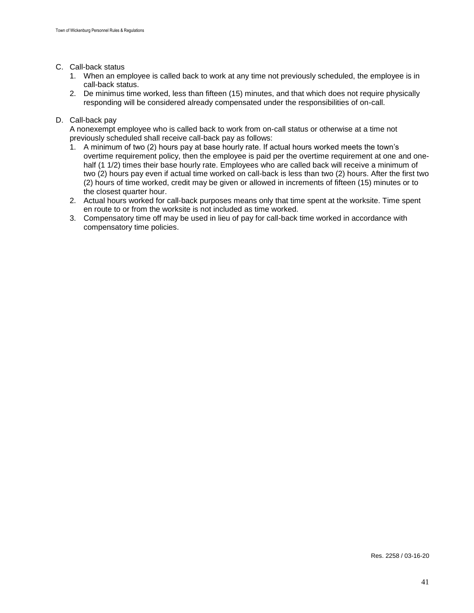#### C. Call-back status

- 1. When an employee is called back to work at any time not previously scheduled, the employee is in call-back status.
- 2. De minimus time worked, less than fifteen (15) minutes, and that which does not require physically responding will be considered already compensated under the responsibilities of on-call.

#### D. Call-back pay

A nonexempt employee who is called back to work from on-call status or otherwise at a time not previously scheduled shall receive call-back pay as follows:

- 1. A minimum of two (2) hours pay at base hourly rate. If actual hours worked meets the town's overtime requirement policy, then the employee is paid per the overtime requirement at one and onehalf (1 1/2) times their base hourly rate. Employees who are called back will receive a minimum of two (2) hours pay even if actual time worked on call-back is less than two (2) hours. After the first two (2) hours of time worked, credit may be given or allowed in increments of fifteen (15) minutes or to the closest quarter hour.
- 2. Actual hours worked for call-back purposes means only that time spent at the worksite. Time spent en route to or from the worksite is not included as time worked.
- 3. Compensatory time off may be used in lieu of pay for call-back time worked in accordance with compensatory time policies.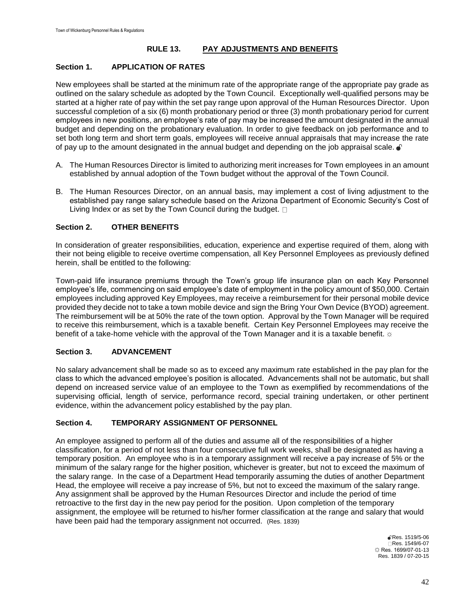# **RULE 13. PAY ADJUSTMENTS AND BENEFITS**

# **Section 1. APPLICATION OF RATES**

New employees shall be started at the minimum rate of the appropriate range of the appropriate pay grade as outlined on the salary schedule as adopted by the Town Council. Exceptionally well-qualified persons may be started at a higher rate of pay within the set pay range upon approval of the Human Resources Director. Upon successful completion of a six (6) month probationary period or three (3) month probationary period for current employees in new positions, an employee's rate of pay may be increased the amount designated in the annual budget and depending on the probationary evaluation. In order to give feedback on job performance and to set both long term and short term goals, employees will receive annual appraisals that may increase the rate of pay up to the amount designated in the annual budget and depending on the job appraisal scale.

- A. The Human Resources Director is limited to authorizing merit increases for Town employees in an amount established by annual adoption of the Town budget without the approval of the Town Council.
- B. The Human Resources Director, on an annual basis, may implement a cost of living adjustment to the established pay range salary schedule based on the Arizona Department of Economic Security's Cost of Living Index or as set by the Town Council during the budget.  $\Box$

# **Section 2. OTHER BENEFITS**

In consideration of greater responsibilities, education, experience and expertise required of them, along with their not being eligible to receive overtime compensation, all Key Personnel Employees as previously defined herein, shall be entitled to the following:

Town-paid life insurance premiums through the Town's group life insurance plan on each Key Personnel employee's life, commencing on said employee's date of employment in the policy amount of \$50,000. Certain employees including approved Key Employees, may receive a reimbursement for their personal mobile device provided they decide not to take a town mobile device and sign the Bring Your Own Device (BYOD) agreement. The reimbursement will be at 50% the rate of the town option. Approval by the Town Manager will be required to receive this reimbursement, which is a taxable benefit. Certain Key Personnel Employees may receive the benefit of a take-home vehicle with the approval of the Town Manager and it is a taxable benefit.  $\phi$ 

#### **Section 3. ADVANCEMENT**

No salary advancement shall be made so as to exceed any maximum rate established in the pay plan for the class to which the advanced employee's position is allocated. Advancements shall not be automatic, but shall depend on increased service value of an employee to the Town as exemplified by recommendations of the supervising official, length of service, performance record, special training undertaken, or other pertinent evidence, within the advancement policy established by the pay plan.

## **Section 4. TEMPORARY ASSIGNMENT OF PERSONNEL**

An employee assigned to perform all of the duties and assume all of the responsibilities of a higher classification, for a period of not less than four consecutive full work weeks, shall be designated as having a temporary position. An employee who is in a temporary assignment will receive a pay increase of 5% or the minimum of the salary range for the higher position, whichever is greater, but not to exceed the maximum of the salary range. In the case of a Department Head temporarily assuming the duties of another Department Head, the employee will receive a pay increase of 5%, but not to exceed the maximum of the salary range. Any assignment shall be approved by the Human Resources Director and include the period of time retroactive to the first day in the new pay period for the position. Upon completion of the temporary assignment, the employee will be returned to his/her former classification at the range and salary that would have been paid had the temporary assignment not occurred. (Res. 1839)

> Res. 1519/5-06 Res. 1549/6-07 ☼ Res. 1699/07-01-13 Res. 1839 / 07-20-15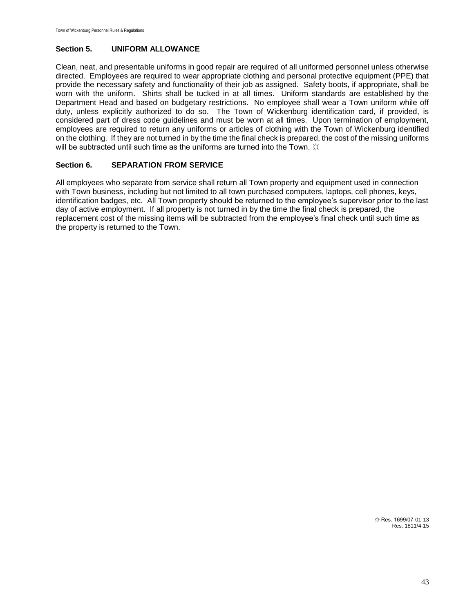# **Section 5. UNIFORM ALLOWANCE**

Clean, neat, and presentable uniforms in good repair are required of all uniformed personnel unless otherwise directed. Employees are required to wear appropriate clothing and personal protective equipment (PPE) that provide the necessary safety and functionality of their job as assigned. Safety boots, if appropriate, shall be worn with the uniform. Shirts shall be tucked in at all times. Uniform standards are established by the Department Head and based on budgetary restrictions. No employee shall wear a Town uniform while off duty, unless explicitly authorized to do so. The Town of Wickenburg identification card, if provided, is considered part of dress code guidelines and must be worn at all times. Upon termination of employment, employees are required to return any uniforms or articles of clothing with the Town of Wickenburg identified on the clothing. If they are not turned in by the time the final check is prepared, the cost of the missing uniforms will be subtracted until such time as the uniforms are turned into the Town.  $\uplus$ 

# **Section 6. SEPARATION FROM SERVICE**

All employees who separate from service shall return all Town property and equipment used in connection with Town business, including but not limited to all town purchased computers, laptops, cell phones, keys, identification badges, etc. All Town property should be returned to the employee's supervisor prior to the last day of active employment. If all property is not turned in by the time the final check is prepared, the replacement cost of the missing items will be subtracted from the employee's final check until such time as the property is returned to the Town.

> ☼ Res. 1699/07-01-13 Res. 1811/4-15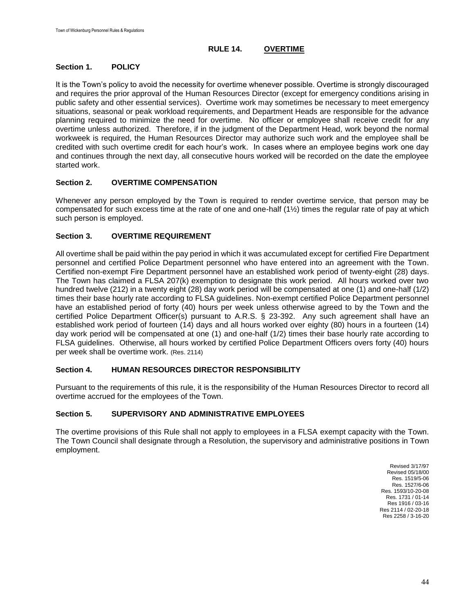#### **RULE 14. OVERTIME**

#### **Section 1. POLICY**

It is the Town's policy to avoid the necessity for overtime whenever possible. Overtime is strongly discouraged and requires the prior approval of the Human Resources Director (except for emergency conditions arising in public safety and other essential services). Overtime work may sometimes be necessary to meet emergency situations, seasonal or peak workload requirements, and Department Heads are responsible for the advance planning required to minimize the need for overtime. No officer or employee shall receive credit for any overtime unless authorized. Therefore, if in the judgment of the Department Head, work beyond the normal workweek is required, the Human Resources Director may authorize such work and the employee shall be credited with such overtime credit for each hour's work. In cases where an employee begins work one day and continues through the next day, all consecutive hours worked will be recorded on the date the employee started work.

#### **Section 2. OVERTIME COMPENSATION**

Whenever any person employed by the Town is required to render overtime service, that person may be compensated for such excess time at the rate of one and one-half  $(1/2)$  times the regular rate of pay at which such person is employed.

#### **Section 3. OVERTIME REQUIREMENT**

All overtime shall be paid within the pay period in which it was accumulated except for certified Fire Department personnel and certified Police Department personnel who have entered into an agreement with the Town. Certified non-exempt Fire Department personnel have an established work period of twenty-eight (28) days. The Town has claimed a FLSA 207(k) exemption to designate this work period. All hours worked over two hundred twelve (212) in a twenty eight (28) day work period will be compensated at one (1) and one-half (1/2) times their base hourly rate according to FLSA guidelines. Non-exempt certified Police Department personnel have an established period of forty (40) hours per week unless otherwise agreed to by the Town and the certified Police Department Officer(s) pursuant to A.R.S. § 23-392. Any such agreement shall have an established work period of fourteen (14) days and all hours worked over eighty (80) hours in a fourteen (14) day work period will be compensated at one (1) and one-half (1/2) times their base hourly rate according to FLSA guidelines. Otherwise, all hours worked by certified Police Department Officers overs forty (40) hours per week shall be overtime work. (Res. 2114)

#### **Section 4. HUMAN RESOURCES DIRECTOR RESPONSIBILITY**

Pursuant to the requirements of this rule, it is the responsibility of the Human Resources Director to record all overtime accrued for the employees of the Town.

#### **Section 5. SUPERVISORY AND ADMINISTRATIVE EMPLOYEES**

The overtime provisions of this Rule shall not apply to employees in a FLSA exempt capacity with the Town. The Town Council shall designate through a Resolution, the supervisory and administrative positions in Town employment.

> Revised 3/17/97 Revised 05/18/00 Res. 1519/5-06 Res. 1527/6-06 Res. 1593/10-20-08 Res. 1731 / 01-14 Res 1916 / 03-16 Res 2114 / 02-20-18 Res 2258 / 3-16-20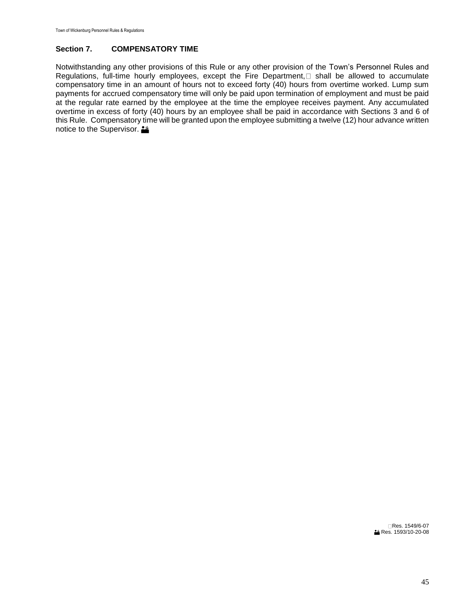# **Section 7. COMPENSATORY TIME**

Notwithstanding any other provisions of this Rule or any other provision of the Town's Personnel Rules and Regulations, full-time hourly employees, except the Fire Department, $\Box$  shall be allowed to accumulate compensatory time in an amount of hours not to exceed forty (40) hours from overtime worked. Lump sum payments for accrued compensatory time will only be paid upon termination of employment and must be paid at the regular rate earned by the employee at the time the employee receives payment. Any accumulated overtime in excess of forty (40) hours by an employee shall be paid in accordance with Sections 3 and 6 of this Rule. Compensatory time will be granted upon the employee submitting a twelve (12) hour advance written notice to the Supervisor.

> Res. 1549/6-07 **Res. 1593/10-20-08**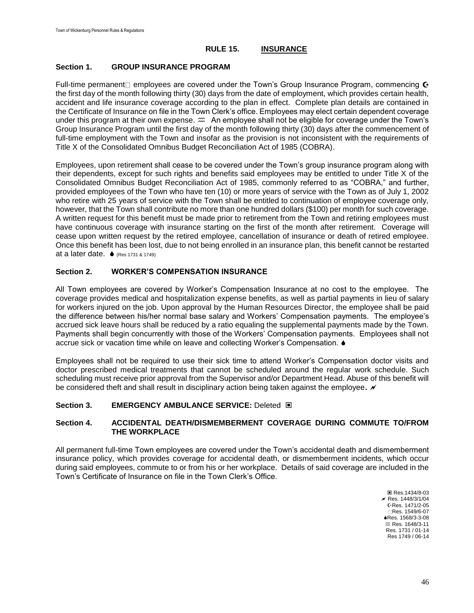#### **RULE 15. INSURANCE**

## **Section 1. GROUP INSURANCE PROGRAM**

Full-time permanent employees are covered under the Town's Group Insurance Program, commencing  $\mathbf G$ the first day of the month following thirty (30) days from the date of employment, which provides certain health, accident and life insurance coverage according to the plan in effect. Complete plan details are contained in the Certificate of Insurance on file in the Town Clerk's office. Employees may elect certain dependent coverage under this program at their own expense.  $\mathfrak{m}$  An employee shall not be eligible for coverage under the Town's Group Insurance Program until the first day of the month following thirty (30) days after the commencement of full-time employment with the Town and insofar as the provision is not inconsistent with the requirements of Title X of the Consolidated Omnibus Budget Reconciliation Act of 1985 (COBRA).

Employees, upon retirement shall cease to be covered under the Town's group insurance program along with their dependents, except for such rights and benefits said employees may be entitled to under Title X of the Consolidated Omnibus Budget Reconciliation Act of 1985, commonly referred to as "COBRA," and further, provided employees of the Town who have ten (10) or more years of service with the Town as of July 1, 2002 who retire with 25 years of service with the Town shall be entitled to continuation of employee coverage only, however, that the Town shall contribute no more than one hundred dollars (\$100) per month for such coverage. A written request for this benefit must be made prior to retirement from the Town and retiring employees must have continuous coverage with insurance starting on the first of the month after retirement. Coverage will cease upon written request by the retired employee, cancellation of insurance or death of retired employee. Once this benefit has been lost, due to not being enrolled in an insurance plan, this benefit cannot be restarted at a later date.  $\bullet$  (Res 1731 & 1749)

# **Section 2. WORKER'S COMPENSATION INSURANCE**

All Town employees are covered by Worker's Compensation Insurance at no cost to the employee. The coverage provides medical and hospitalization expense benefits, as well as partial payments in lieu of salary for workers injured on the job. Upon approval by the Human Resources Director, the employee shall be paid the difference between his/her normal base salary and Workers' Compensation payments. The employee's accrued sick leave hours shall be reduced by a ratio equaling the supplemental payments made by the Town. Payments shall begin concurrently with those of the Workers' Compensation payments. Employees shall not accrue sick or vacation time while on leave and collecting Worker's Compensation.

Employees shall not be required to use their sick time to attend Worker's Compensation doctor visits and doctor prescribed medical treatments that cannot be scheduled around the regular work schedule. Such scheduling must receive prior approval from the Supervisor and/or Department Head. Abuse of this benefit will be considered theft and shall result in disciplinary action being taken against the employee**.** 

# **Section 3. EMERGENCY AMBULANCE SERVICE:** Deleted

# **Section 4. ACCIDENTAL DEATH/DISMEMBERMENT COVERAGE DURING COMMUTE TO/FROM THE WORKPLACE**

All permanent full-time Town employees are covered under the Town's accidental death and dismemberment insurance policy, which provides coverage for accidental death, or dismemberment incidents, which occur during said employees, commute to or from his or her workplace. Details of said coverage are included in the Town's Certificate of Insurance on file in the Town Clerk's Office.

> ■ Res.1434/8-03  $\times$  Res. 1448/3/1/04 Res. 1471/2-05 Res. 1549/6-07 Res. 1568/3-3-08 Res. 1648/3-11 Res. 1731 / 01-14 Res 1749 / 06-14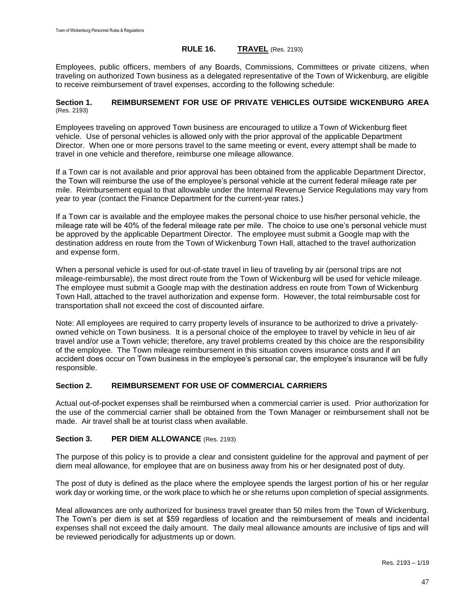#### **RULE 16. TRAVEL** (Res. 2193)

Employees, public officers, members of any Boards, Commissions, Committees or private citizens, when traveling on authorized Town business as a delegated representative of the Town of Wickenburg, are eligible to receive reimbursement of travel expenses, according to the following schedule:

#### **Section 1. REIMBURSEMENT FOR USE OF PRIVATE VEHICLES OUTSIDE WICKENBURG AREA** (Res. 2193)

Employees traveling on approved Town business are encouraged to utilize a Town of Wickenburg fleet vehicle. Use of personal vehicles is allowed only with the prior approval of the applicable Department Director. When one or more persons travel to the same meeting or event, every attempt shall be made to travel in one vehicle and therefore, reimburse one mileage allowance.

If a Town car is not available and prior approval has been obtained from the applicable Department Director, the Town will reimburse the use of the employee's personal vehicle at the current federal mileage rate per mile. Reimbursement equal to that allowable under the Internal Revenue Service Regulations may vary from year to year (contact the Finance Department for the current-year rates.)

If a Town car is available and the employee makes the personal choice to use his/her personal vehicle, the mileage rate will be 40% of the federal mileage rate per mile. The choice to use one's personal vehicle must be approved by the applicable Department Director. The employee must submit a Google map with the destination address en route from the Town of Wickenburg Town Hall, attached to the travel authorization and expense form.

When a personal vehicle is used for out-of-state travel in lieu of traveling by air (personal trips are not mileage-reimbursable), the most direct route from the Town of Wickenburg will be used for vehicle mileage. The employee must submit a Google map with the destination address en route from Town of Wickenburg Town Hall, attached to the travel authorization and expense form. However, the total reimbursable cost for transportation shall not exceed the cost of discounted airfare.

Note: All employees are required to carry property levels of insurance to be authorized to drive a privatelyowned vehicle on Town business. It is a personal choice of the employee to travel by vehicle in lieu of air travel and/or use a Town vehicle; therefore, any travel problems created by this choice are the responsibility of the employee. The Town mileage reimbursement in this situation covers insurance costs and if an accident does occur on Town business in the employee's personal car, the employee's insurance will be fully responsible.

# **Section 2. REIMBURSEMENT FOR USE OF COMMERCIAL CARRIERS**

Actual out-of-pocket expenses shall be reimbursed when a commercial carrier is used. Prior authorization for the use of the commercial carrier shall be obtained from the Town Manager or reimbursement shall not be made. Air travel shall be at tourist class when available.

## **Section 3. PER DIEM ALLOWANCE** (Res. 2193)

The purpose of this policy is to provide a clear and consistent guideline for the approval and payment of per diem meal allowance, for employee that are on business away from his or her designated post of duty.

The post of duty is defined as the place where the employee spends the largest portion of his or her regular work day or working time, or the work place to which he or she returns upon completion of special assignments.

Meal allowances are only authorized for business travel greater than 50 miles from the Town of Wickenburg. The Town's per diem is set at \$59 regardless of location and the reimbursement of meals and incidental expenses shall not exceed the daily amount. The daily meal allowance amounts are inclusive of tips and will be reviewed periodically for adjustments up or down.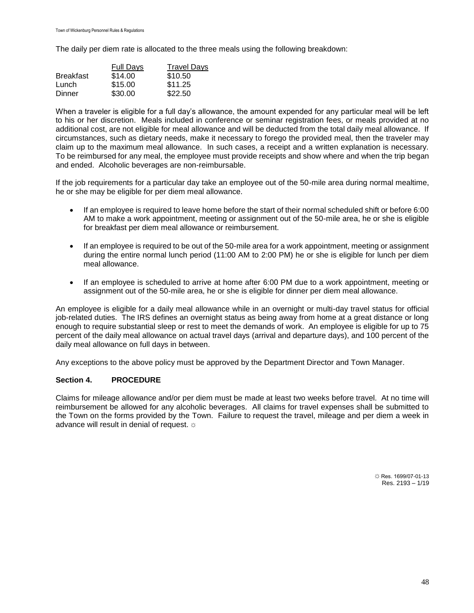The daily per diem rate is allocated to the three meals using the following breakdown:

|                  | <b>Full Days</b> | <b>Travel Days</b> |
|------------------|------------------|--------------------|
| <b>Breakfast</b> | \$14.00          | \$10.50            |
| Lunch            | \$15.00          | \$11.25            |
| Dinner           | \$30.00          | \$22.50            |

When a traveler is eligible for a full day's allowance, the amount expended for any particular meal will be left to his or her discretion. Meals included in conference or seminar registration fees, or meals provided at no additional cost, are not eligible for meal allowance and will be deducted from the total daily meal allowance. If circumstances, such as dietary needs, make it necessary to forego the provided meal, then the traveler may claim up to the maximum meal allowance. In such cases, a receipt and a written explanation is necessary. To be reimbursed for any meal, the employee must provide receipts and show where and when the trip began and ended. Alcoholic beverages are non-reimbursable.

If the job requirements for a particular day take an employee out of the 50-mile area during normal mealtime, he or she may be eligible for per diem meal allowance.

- If an employee is required to leave home before the start of their normal scheduled shift or before 6:00 AM to make a work appointment, meeting or assignment out of the 50-mile area, he or she is eligible for breakfast per diem meal allowance or reimbursement.
- If an employee is required to be out of the 50-mile area for a work appointment, meeting or assignment during the entire normal lunch period (11:00 AM to 2:00 PM) he or she is eligible for lunch per diem meal allowance.
- If an employee is scheduled to arrive at home after 6:00 PM due to a work appointment, meeting or assignment out of the 50-mile area, he or she is eligible for dinner per diem meal allowance.

An employee is eligible for a daily meal allowance while in an overnight or multi-day travel status for official job-related duties. The IRS defines an overnight status as being away from home at a great distance or long enough to require substantial sleep or rest to meet the demands of work. An employee is eligible for up to 75 percent of the daily meal allowance on actual travel days (arrival and departure days), and 100 percent of the daily meal allowance on full days in between.

Any exceptions to the above policy must be approved by the Department Director and Town Manager.

# **Section 4. PROCEDURE**

Claims for mileage allowance and/or per diem must be made at least two weeks before travel. At no time will reimbursement be allowed for any alcoholic beverages. All claims for travel expenses shall be submitted to the Town on the forms provided by the Town. Failure to request the travel, mileage and per diem a week in advance will result in denial of request.  $\phi$ 

> ☼ Res. 1699/07-01-13 Res. 2193 – 1/19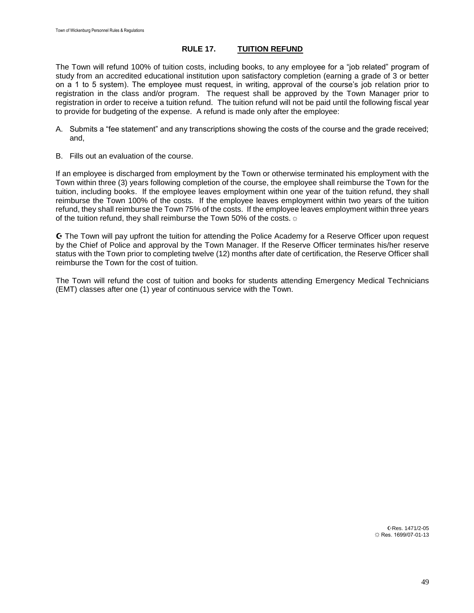## **RULE 17. TUITION REFUND**

The Town will refund 100% of tuition costs, including books, to any employee for a "job related" program of study from an accredited educational institution upon satisfactory completion (earning a grade of 3 or better on a 1 to 5 system). The employee must request, in writing, approval of the course's job relation prior to registration in the class and/or program. The request shall be approved by the Town Manager prior to registration in order to receive a tuition refund. The tuition refund will not be paid until the following fiscal year to provide for budgeting of the expense. A refund is made only after the employee:

- A. Submits a "fee statement" and any transcriptions showing the costs of the course and the grade received; and,
- B. Fills out an evaluation of the course.

If an employee is discharged from employment by the Town or otherwise terminated his employment with the Town within three (3) years following completion of the course, the employee shall reimburse the Town for the tuition, including books. If the employee leaves employment within one year of the tuition refund, they shall reimburse the Town 100% of the costs. If the employee leaves employment within two years of the tuition refund, they shall reimburse the Town 75% of the costs. If the employee leaves employment within three years of the tuition refund, they shall reimburse the Town 50% of the costs.  $\alpha$ 

G The Town will pay upfront the tuition for attending the Police Academy for a Reserve Officer upon request by the Chief of Police and approval by the Town Manager. If the Reserve Officer terminates his/her reserve status with the Town prior to completing twelve (12) months after date of certification, the Reserve Officer shall reimburse the Town for the cost of tuition.

The Town will refund the cost of tuition and books for students attending Emergency Medical Technicians (EMT) classes after one (1) year of continuous service with the Town.

> Res. 1471/2-05 ☼ Res. 1699/07-01-13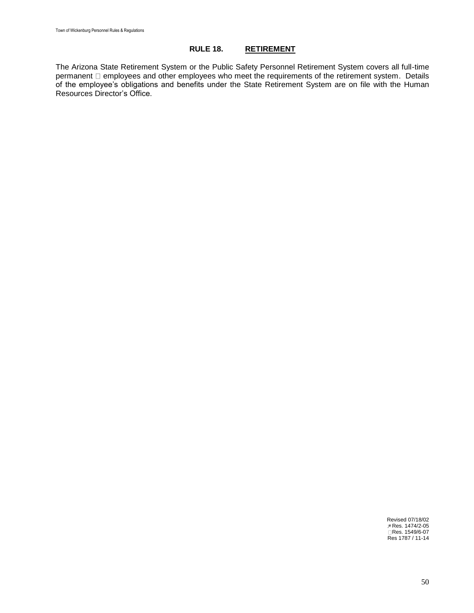# **RULE 18. RETIREMENT**

The Arizona State Retirement System or the Public Safety Personnel Retirement System covers all full-time permanent  $\Box$  employees and other employees who meet the requirements of the retirement system. Details of the employee's obligations and benefits under the State Retirement System are on file with the Human Resources Director's Office.

> Revised 07/18/02 Res. 1474/2-05 Res. 1549/6-07 Res 1787 / 11-14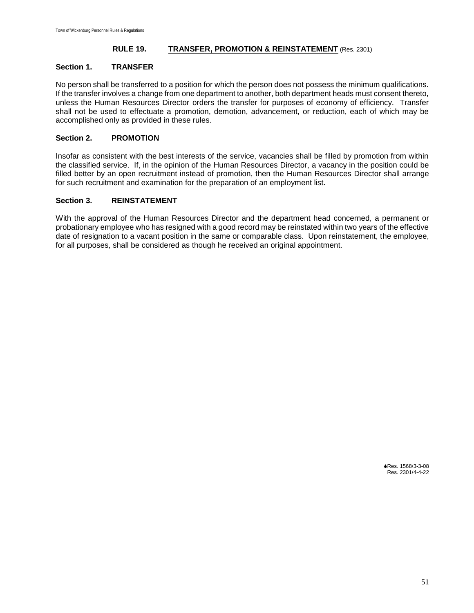## **RULE 19. TRANSFER, PROMOTION & REINSTATEMENT** (Res. 2301)

#### **Section 1. TRANSFER**

No person shall be transferred to a position for which the person does not possess the minimum qualifications. If the transfer involves a change from one department to another, both department heads must consent thereto, unless the Human Resources Director orders the transfer for purposes of economy of efficiency. Transfer shall not be used to effectuate a promotion, demotion, advancement, or reduction, each of which may be accomplished only as provided in these rules.

# **Section 2. PROMOTION**

Insofar as consistent with the best interests of the service, vacancies shall be filled by promotion from within the classified service. If, in the opinion of the Human Resources Director, a vacancy in the position could be filled better by an open recruitment instead of promotion, then the Human Resources Director shall arrange for such recruitment and examination for the preparation of an employment list.

#### **Section 3. REINSTATEMENT**

With the approval of the Human Resources Director and the department head concerned, a permanent or probationary employee who has resigned with a good record may be reinstated within two years of the effective date of resignation to a vacant position in the same or comparable class. Upon reinstatement, the employee, for all purposes, shall be considered as though he received an original appointment.

> Res. 1568/3-3-08 Res. 2301/4-4-22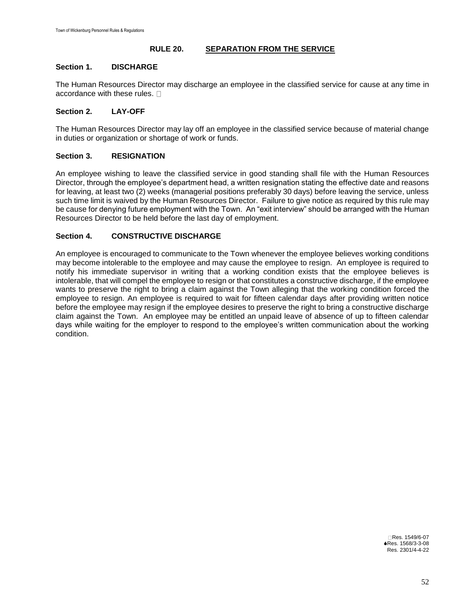## **RULE 20. SEPARATION FROM THE SERVICE**

#### **Section 1. DISCHARGE**

The Human Resources Director may discharge an employee in the classified service for cause at any time in accordance with these rules.  $\Box$ 

### **Section 2. LAY-OFF**

The Human Resources Director may lay off an employee in the classified service because of material change in duties or organization or shortage of work or funds.

#### **Section 3. RESIGNATION**

An employee wishing to leave the classified service in good standing shall file with the Human Resources Director, through the employee's department head, a written resignation stating the effective date and reasons for leaving, at least two (2) weeks (managerial positions preferably 30 days) before leaving the service, unless such time limit is waived by the Human Resources Director. Failure to give notice as required by this rule may be cause for denying future employment with the Town. An "exit interview" should be arranged with the Human Resources Director to be held before the last day of employment.

# **Section 4. CONSTRUCTIVE DISCHARGE**

An employee is encouraged to communicate to the Town whenever the employee believes working conditions may become intolerable to the employee and may cause the employee to resign. An employee is required to notify his immediate supervisor in writing that a working condition exists that the employee believes is intolerable, that will compel the employee to resign or that constitutes a constructive discharge, if the employee wants to preserve the right to bring a claim against the Town alleging that the working condition forced the employee to resign. An employee is required to wait for fifteen calendar days after providing written notice before the employee may resign if the employee desires to preserve the right to bring a constructive discharge claim against the Town. An employee may be entitled an unpaid leave of absence of up to fifteen calendar days while waiting for the employer to respond to the employee's written communication about the working condition.

> Res. 1549/6-07 Res. 1568/3-3-08 Res. 2301/4-4-22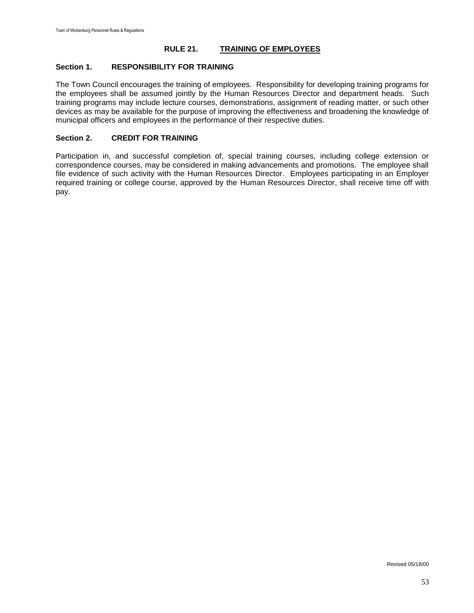# **RULE 21. TRAINING OF EMPLOYEES**

# **Section 1. RESPONSIBILITY FOR TRAINING**

The Town Council encourages the training of employees. Responsibility for developing training programs for the employees shall be assumed jointly by the Human Resources Director and department heads. Such training programs may include lecture courses, demonstrations, assignment of reading matter, or such other devices as may be available for the purpose of improving the effectiveness and broadening the knowledge of municipal officers and employees in the performance of their respective duties.

# **Section 2. CREDIT FOR TRAINING**

Participation in, and successful completion of, special training courses, including college extension or correspondence courses, may be considered in making advancements and promotions. The employee shall file evidence of such activity with the Human Resources Director. Employees participating in an Employer required training or college course, approved by the Human Resources Director, shall receive time off with pay.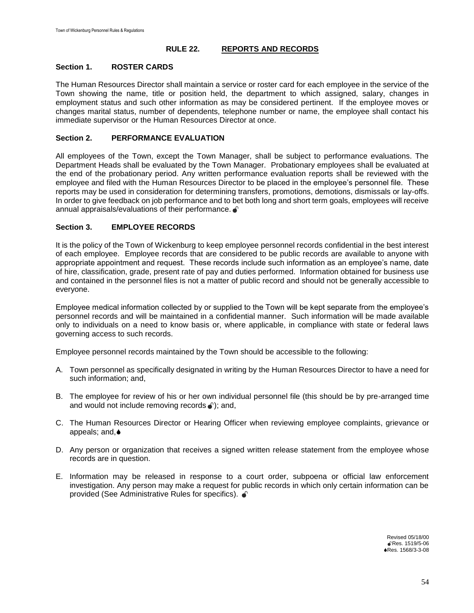## **RULE 22. REPORTS AND RECORDS**

#### **Section 1. ROSTER CARDS**

The Human Resources Director shall maintain a service or roster card for each employee in the service of the Town showing the name, title or position held, the department to which assigned, salary, changes in employment status and such other information as may be considered pertinent. If the employee moves or changes marital status, number of dependents, telephone number or name, the employee shall contact his immediate supervisor or the Human Resources Director at once.

## **Section 2. PERFORMANCE EVALUATION**

All employees of the Town, except the Town Manager, shall be subject to performance evaluations. The Department Heads shall be evaluated by the Town Manager. Probationary employees shall be evaluated at the end of the probationary period. Any written performance evaluation reports shall be reviewed with the employee and filed with the Human Resources Director to be placed in the employee's personnel file. These reports may be used in consideration for determining transfers, promotions, demotions, dismissals or lay-offs. In order to give feedback on job performance and to bet both long and short term goals, employees will receive annual appraisals/evaluations of their performance.

## **Section 3. EMPLOYEE RECORDS**

It is the policy of the Town of Wickenburg to keep employee personnel records confidential in the best interest of each employee. Employee records that are considered to be public records are available to anyone with appropriate appointment and request. These records include such information as an employee's name, date of hire, classification, grade, present rate of pay and duties performed. Information obtained for business use and contained in the personnel files is not a matter of public record and should not be generally accessible to everyone.

Employee medical information collected by or supplied to the Town will be kept separate from the employee's personnel records and will be maintained in a confidential manner. Such information will be made available only to individuals on a need to know basis or, where applicable, in compliance with state or federal laws governing access to such records.

Employee personnel records maintained by the Town should be accessible to the following:

- A. Town personnel as specifically designated in writing by the Human Resources Director to have a need for such information; and,
- B. The employee for review of his or her own individual personnel file (this should be by pre-arranged time and would not include removing records  $\mathcal{O}(n)$ ; and,
- C. The Human Resources Director or Hearing Officer when reviewing employee complaints, grievance or appeals; and,
- D. Any person or organization that receives a signed written release statement from the employee whose records are in question.
- E. Information may be released in response to a court order, subpoena or official law enforcement investigation. Any person may make a request for public records in which only certain information can be provided (See Administrative Rules for specifics).  $\bullet$

 Revised 05/18/00 Res. 1519/5-06 Res. 1568/3-3-08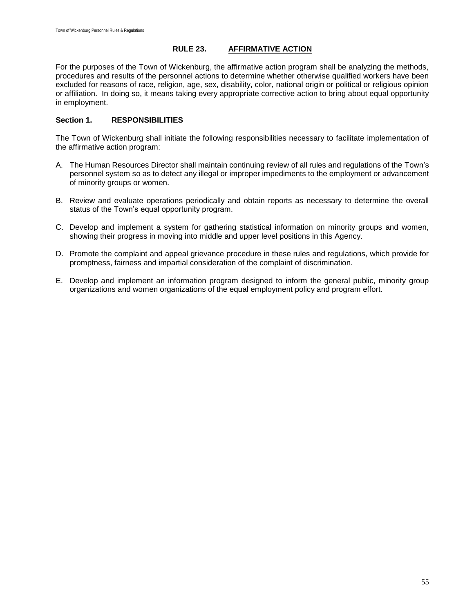## **RULE 23. AFFIRMATIVE ACTION**

For the purposes of the Town of Wickenburg, the affirmative action program shall be analyzing the methods, procedures and results of the personnel actions to determine whether otherwise qualified workers have been excluded for reasons of race, religion, age, sex, disability, color, national origin or political or religious opinion or affiliation. In doing so, it means taking every appropriate corrective action to bring about equal opportunity in employment.

#### **Section 1. RESPONSIBILITIES**

The Town of Wickenburg shall initiate the following responsibilities necessary to facilitate implementation of the affirmative action program:

- A. The Human Resources Director shall maintain continuing review of all rules and regulations of the Town's personnel system so as to detect any illegal or improper impediments to the employment or advancement of minority groups or women.
- B. Review and evaluate operations periodically and obtain reports as necessary to determine the overall status of the Town's equal opportunity program.
- C. Develop and implement a system for gathering statistical information on minority groups and women, showing their progress in moving into middle and upper level positions in this Agency.
- D. Promote the complaint and appeal grievance procedure in these rules and regulations, which provide for promptness, fairness and impartial consideration of the complaint of discrimination.
- E. Develop and implement an information program designed to inform the general public, minority group organizations and women organizations of the equal employment policy and program effort.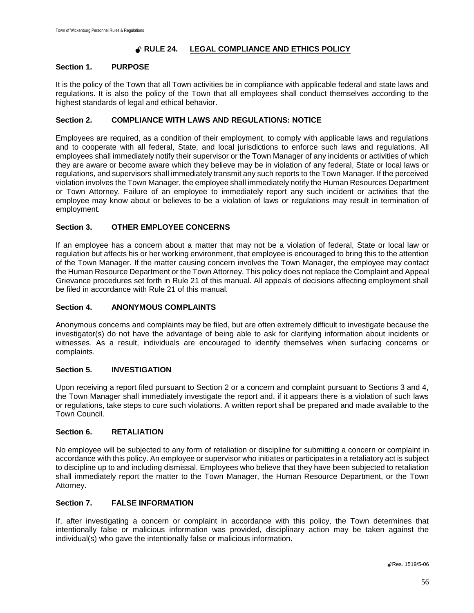# **RULE 24. LEGAL COMPLIANCE AND ETHICS POLICY**

## **Section 1. PURPOSE**

It is the policy of the Town that all Town activities be in compliance with applicable federal and state laws and regulations. It is also the policy of the Town that all employees shall conduct themselves according to the highest standards of legal and ethical behavior.

# **Section 2. COMPLIANCE WITH LAWS AND REGULATIONS: NOTICE**

Employees are required, as a condition of their employment, to comply with applicable laws and regulations and to cooperate with all federal, State, and local jurisdictions to enforce such laws and regulations. All employees shall immediately notify their supervisor or the Town Manager of any incidents or activities of which they are aware or become aware which they believe may be in violation of any federal, State or local laws or regulations, and supervisors shall immediately transmit any such reports to the Town Manager. If the perceived violation involves the Town Manager, the employee shall immediately notify the Human Resources Department or Town Attorney. Failure of an employee to immediately report any such incident or activities that the employee may know about or believes to be a violation of laws or regulations may result in termination of employment.

# **Section 3. OTHER EMPLOYEE CONCERNS**

If an employee has a concern about a matter that may not be a violation of federal, State or local law or regulation but affects his or her working environment, that employee is encouraged to bring this to the attention of the Town Manager. If the matter causing concern involves the Town Manager, the employee may contact the Human Resource Department or the Town Attorney. This policy does not replace the Complaint and Appeal Grievance procedures set forth in Rule 21 of this manual. All appeals of decisions affecting employment shall be filed in accordance with Rule 21 of this manual.

## **Section 4. ANONYMOUS COMPLAINTS**

Anonymous concerns and complaints may be filed, but are often extremely difficult to investigate because the investigator(s) do not have the advantage of being able to ask for clarifying information about incidents or witnesses. As a result, individuals are encouraged to identify themselves when surfacing concerns or complaints.

#### **Section 5. INVESTIGATION**

Upon receiving a report filed pursuant to Section 2 or a concern and complaint pursuant to Sections 3 and 4, the Town Manager shall immediately investigate the report and, if it appears there is a violation of such laws or regulations, take steps to cure such violations. A written report shall be prepared and made available to the Town Council.

#### **Section 6. RETALIATION**

No employee will be subjected to any form of retaliation or discipline for submitting a concern or complaint in accordance with this policy. An employee or supervisor who initiates or participates in a retaliatory act is subject to discipline up to and including dismissal. Employees who believe that they have been subjected to retaliation shall immediately report the matter to the Town Manager, the Human Resource Department, or the Town Attorney.

#### **Section 7. FALSE INFORMATION**

If, after investigating a concern or complaint in accordance with this policy, the Town determines that intentionally false or malicious information was provided, disciplinary action may be taken against the individual(s) who gave the intentionally false or malicious information.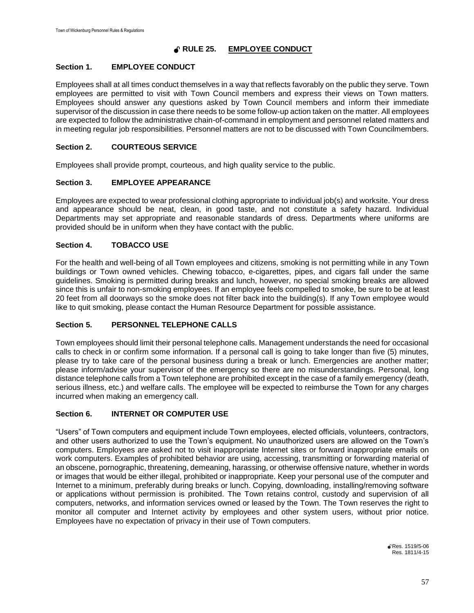# **RULE 25. EMPLOYEE CONDUCT**

# **Section 1. EMPLOYEE CONDUCT**

Employees shall at all times conduct themselves in a way that reflects favorably on the public they serve. Town employees are permitted to visit with Town Council members and express their views on Town matters. Employees should answer any questions asked by Town Council members and inform their immediate supervisor of the discussion in case there needs to be some follow-up action taken on the matter. All employees are expected to follow the administrative chain-of-command in employment and personnel related matters and in meeting regular job responsibilities. Personnel matters are not to be discussed with Town Councilmembers.

# **Section 2. COURTEOUS SERVICE**

Employees shall provide prompt, courteous, and high quality service to the public.

#### **Section 3. EMPLOYEE APPEARANCE**

Employees are expected to wear professional clothing appropriate to individual job(s) and worksite. Your dress and appearance should be neat, clean, in good taste, and not constitute a safety hazard. Individual Departments may set appropriate and reasonable standards of dress. Departments where uniforms are provided should be in uniform when they have contact with the public.

# **Section 4. TOBACCO USE**

For the health and well-being of all Town employees and citizens, smoking is not permitting while in any Town buildings or Town owned vehicles. Chewing tobacco, e-cigarettes, pipes, and cigars fall under the same guidelines. Smoking is permitted during breaks and lunch, however, no special smoking breaks are allowed since this is unfair to non-smoking employees. If an employee feels compelled to smoke, be sure to be at least 20 feet from all doorways so the smoke does not filter back into the building(s). If any Town employee would like to quit smoking, please contact the Human Resource Department for possible assistance.

# **Section 5. PERSONNEL TELEPHONE CALLS**

Town employees should limit their personal telephone calls. Management understands the need for occasional calls to check in or confirm some information. If a personal call is going to take longer than five (5) minutes, please try to take care of the personal business during a break or lunch. Emergencies are another matter; please inform/advise your supervisor of the emergency so there are no misunderstandings. Personal, long distance telephone calls from a Town telephone are prohibited except in the case of a family emergency (death, serious illness, etc.) and welfare calls. The employee will be expected to reimburse the Town for any charges incurred when making an emergency call.

#### **Section 6. INTERNET OR COMPUTER USE**

"Users" of Town computers and equipment include Town employees, elected officials, volunteers, contractors, and other users authorized to use the Town's equipment. No unauthorized users are allowed on the Town's computers. Employees are asked not to visit inappropriate Internet sites or forward inappropriate emails on work computers. Examples of prohibited behavior are using, accessing, transmitting or forwarding material of an obscene, pornographic, threatening, demeaning, harassing, or otherwise offensive nature, whether in words or images that would be either illegal, prohibited or inappropriate. Keep your personal use of the computer and Internet to a minimum, preferably during breaks or lunch. Copying, downloading, installing/removing software or applications without permission is prohibited. The Town retains control, custody and supervision of all computers, networks, and information services owned or leased by the Town. The Town reserves the right to monitor all computer and Internet activity by employees and other system users, without prior notice. Employees have no expectation of privacy in their use of Town computers.

> Res. 1519/5-06 Res. 1811/4-15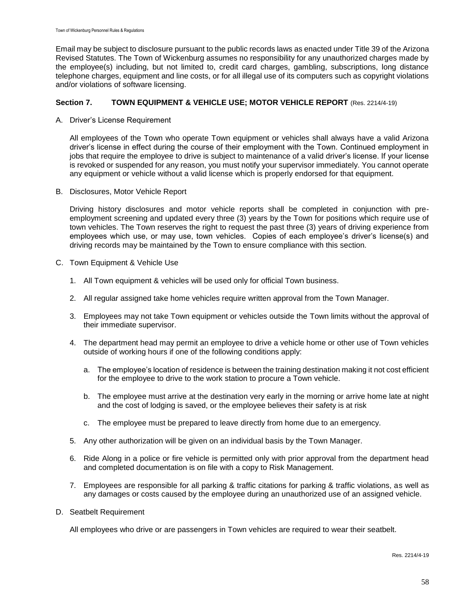Email may be subject to disclosure pursuant to the public records laws as enacted under Title 39 of the Arizona Revised Statutes. The Town of Wickenburg assumes no responsibility for any unauthorized charges made by the employee(s) including, but not limited to, credit card charges, gambling, subscriptions, long distance telephone charges, equipment and line costs, or for all illegal use of its computers such as copyright violations and/or violations of software licensing.

# **Section 7. TOWN EQUIPMENT & VEHICLE USE; MOTOR VEHICLE REPORT** (Res. 2214/4-19)

A. Driver's License Requirement

All employees of the Town who operate Town equipment or vehicles shall always have a valid Arizona driver's license in effect during the course of their employment with the Town. Continued employment in jobs that require the employee to drive is subject to maintenance of a valid driver's license. If your license is revoked or suspended for any reason, you must notify your supervisor immediately. You cannot operate any equipment or vehicle without a valid license which is properly endorsed for that equipment.

B. Disclosures, Motor Vehicle Report

Driving history disclosures and motor vehicle reports shall be completed in conjunction with preemployment screening and updated every three (3) years by the Town for positions which require use of town vehicles. The Town reserves the right to request the past three (3) years of driving experience from employees which use, or may use, town vehicles. Copies of each employee's driver's license(s) and driving records may be maintained by the Town to ensure compliance with this section.

- C. Town Equipment & Vehicle Use
	- 1. All Town equipment & vehicles will be used only for official Town business.
	- 2. All regular assigned take home vehicles require written approval from the Town Manager.
	- 3. Employees may not take Town equipment or vehicles outside the Town limits without the approval of their immediate supervisor.
	- 4. The department head may permit an employee to drive a vehicle home or other use of Town vehicles outside of working hours if one of the following conditions apply:
		- a. The employee's location of residence is between the training destination making it not cost efficient for the employee to drive to the work station to procure a Town vehicle.
		- b. The employee must arrive at the destination very early in the morning or arrive home late at night and the cost of lodging is saved, or the employee believes their safety is at risk
		- c. The employee must be prepared to leave directly from home due to an emergency.
	- 5. Any other authorization will be given on an individual basis by the Town Manager.
	- 6. Ride Along in a police or fire vehicle is permitted only with prior approval from the department head and completed documentation is on file with a copy to Risk Management.
	- 7. Employees are responsible for all parking & traffic citations for parking & traffic violations, as well as any damages or costs caused by the employee during an unauthorized use of an assigned vehicle.
- D. Seatbelt Requirement

All employees who drive or are passengers in Town vehicles are required to wear their seatbelt.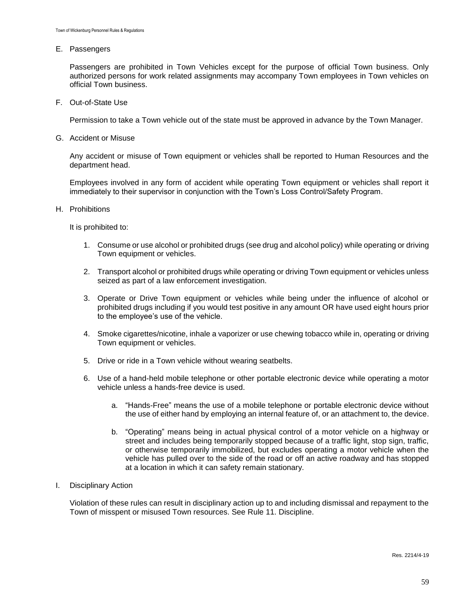#### E. Passengers

Passengers are prohibited in Town Vehicles except for the purpose of official Town business. Only authorized persons for work related assignments may accompany Town employees in Town vehicles on official Town business.

F. Out-of-State Use

Permission to take a Town vehicle out of the state must be approved in advance by the Town Manager.

G. Accident or Misuse

Any accident or misuse of Town equipment or vehicles shall be reported to Human Resources and the department head.

Employees involved in any form of accident while operating Town equipment or vehicles shall report it immediately to their supervisor in conjunction with the Town's Loss Control/Safety Program.

#### H. Prohibitions

It is prohibited to:

- 1. Consume or use alcohol or prohibited drugs (see drug and alcohol policy) while operating or driving Town equipment or vehicles.
- 2. Transport alcohol or prohibited drugs while operating or driving Town equipment or vehicles unless seized as part of a law enforcement investigation.
- 3. Operate or Drive Town equipment or vehicles while being under the influence of alcohol or prohibited drugs including if you would test positive in any amount OR have used eight hours prior to the employee's use of the vehicle.
- 4. Smoke cigarettes/nicotine, inhale a vaporizer or use chewing tobacco while in, operating or driving Town equipment or vehicles.
- 5. Drive or ride in a Town vehicle without wearing seatbelts.
- 6. Use of a hand-held mobile telephone or other portable electronic device while operating a motor vehicle unless a hands-free device is used.
	- a. "Hands-Free" means the use of a mobile telephone or portable electronic device without the use of either hand by employing an internal feature of, or an attachment to, the device.
	- b. "Operating" means being in actual physical control of a motor vehicle on a highway or street and includes being temporarily stopped because of a traffic light, stop sign, traffic, or otherwise temporarily immobilized, but excludes operating a motor vehicle when the vehicle has pulled over to the side of the road or off an active roadway and has stopped at a location in which it can safety remain stationary.
- I. Disciplinary Action

Violation of these rules can result in disciplinary action up to and including dismissal and repayment to the Town of misspent or misused Town resources. See Rule 11. Discipline.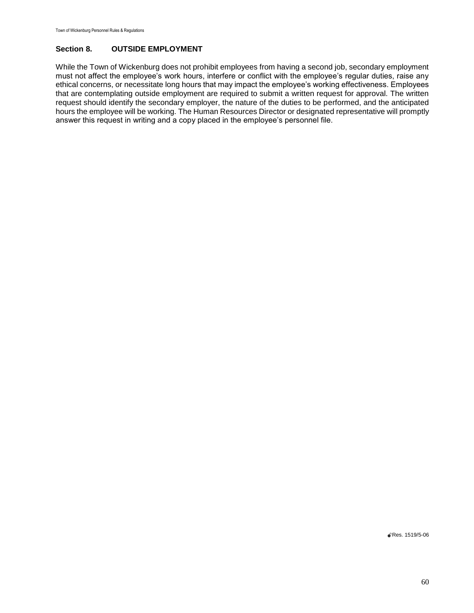# **Section 8. OUTSIDE EMPLOYMENT**

While the Town of Wickenburg does not prohibit employees from having a second job, secondary employment must not affect the employee's work hours, interfere or conflict with the employee's regular duties, raise any ethical concerns, or necessitate long hours that may impact the employee's working effectiveness. Employees that are contemplating outside employment are required to submit a written request for approval. The written request should identify the secondary employer, the nature of the duties to be performed, and the anticipated hours the employee will be working. The Human Resources Director or designated representative will promptly answer this request in writing and a copy placed in the employee's personnel file.

Res. 1519/5-06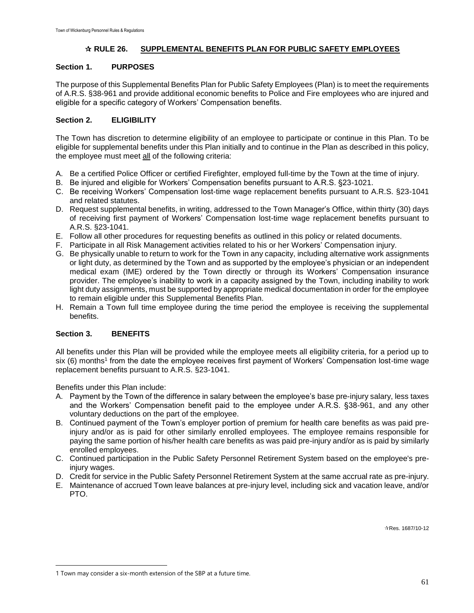# **RULE 26. SUPPLEMENTAL BENEFITS PLAN FOR PUBLIC SAFETY EMPLOYEES**

# **Section 1. PURPOSES**

The purpose of this Supplemental Benefits Plan for Public Safety Employees (Plan) is to meet the requirements of A.R.S. §38-961 and provide additional economic benefits to Police and Fire employees who are injured and eligible for a specific category of Workers' Compensation benefits.

# **Section 2. ELIGIBILITY**

The Town has discretion to determine eligibility of an employee to participate or continue in this Plan. To be eligible for supplemental benefits under this Plan initially and to continue in the Plan as described in this policy, the employee must meet all of the following criteria:

- A. Be a certified Police Officer or certified Firefighter, employed full-time by the Town at the time of injury.
- B. Be injured and eligible for Workers' Compensation benefits pursuant to A.R.S. §23-1021.
- C. Be receiving Workers' Compensation lost-time wage replacement benefits pursuant to A.R.S. §23-1041 and related statutes.
- D. Request supplemental benefits, in writing, addressed to the Town Manager's Office, within thirty (30) days of receiving first payment of Workers' Compensation lost-time wage replacement benefits pursuant to A.R.S. §23-1041.
- E. Follow all other procedures for requesting benefits as outlined in this policy or related documents.
- F. Participate in all Risk Management activities related to his or her Workers' Compensation injury.
- G. Be physically unable to return to work for the Town in any capacity, including alternative work assignments or light duty, as determined by the Town and as supported by the employee's physician or an independent medical exam (IME) ordered by the Town directly or through its Workers' Compensation insurance provider. The employee's inability to work in a capacity assigned by the Town, including inability to work light duty assignments, must be supported by appropriate medical documentation in order for the employee to remain eligible under this Supplemental Benefits Plan.
- H. Remain a Town full time employee during the time period the employee is receiving the supplemental benefits.

# **Section 3. BENEFITS**

All benefits under this Plan will be provided while the employee meets all eligibility criteria, for a period up to six (6) months<sup>1</sup> from the date the employee receives first payment of Workers' Compensation lost-time wage replacement benefits pursuant to A.R.S. §23-1041.

Benefits under this Plan include:

 $\overline{a}$ 

- A. Payment by the Town of the difference in salary between the employee's base pre-injury salary, less taxes and the Workers' Compensation benefit paid to the employee under A.R.S. §38-961, and any other voluntary deductions on the part of the employee.
- B. Continued payment of the Town's employer portion of premium for health care benefits as was paid preinjury and/or as is paid for other similarly enrolled employees. The employee remains responsible for paying the same portion of his/her health care benefits as was paid pre-injury and/or as is paid by similarly enrolled employees.
- C. Continued participation in the Public Safety Personnel Retirement System based on the employee's preiniury wages.
- D. Credit for service in the Public Safety Personnel Retirement System at the same accrual rate as pre-injury.
- E. Maintenance of accrued Town leave balances at pre-injury level, including sick and vacation leave, and/or PTO.

 $R$ Res. 1687/10-12

<sup>1</sup> Town may consider a six-month extension of the SBP at a future time.